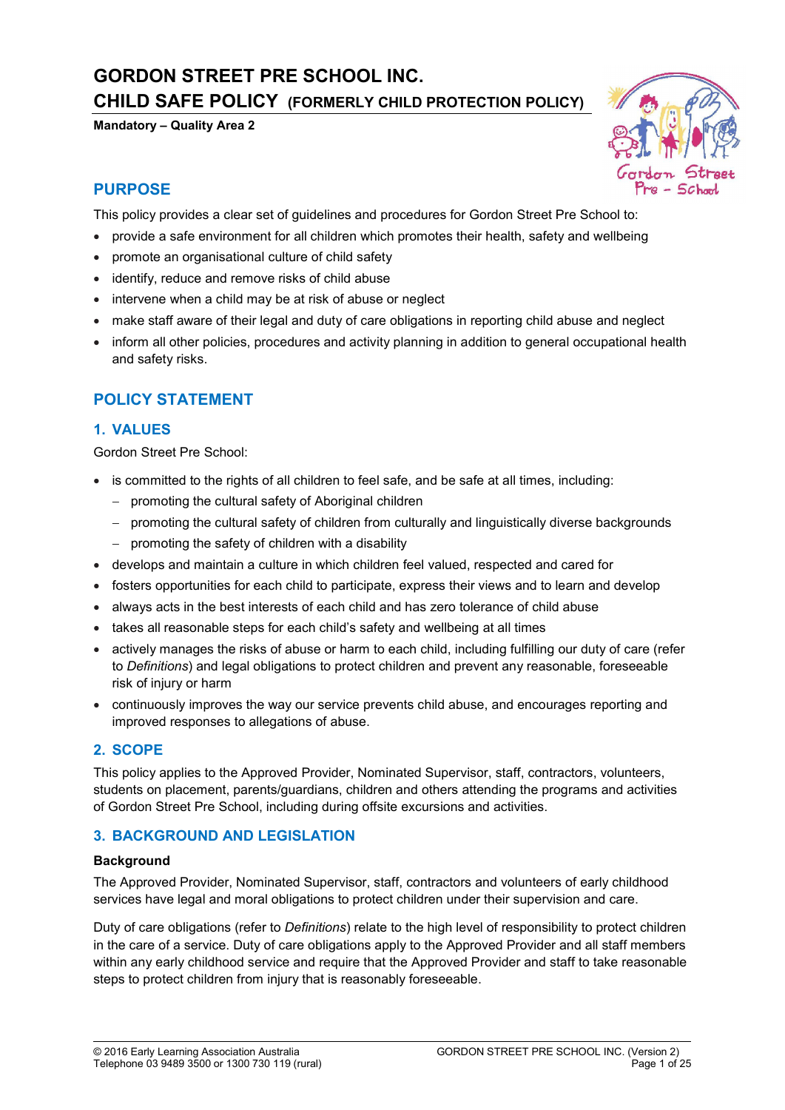# GORDON STREET PRE SCHOOL INC. CHILD SAFE POLICY (FORMERLY CHILD PROTECTION POLICY)

Mandatory – Quality Area 2



# PURPOSE

This policy provides a clear set of guidelines and procedures for Gordon Street Pre School to:

- provide a safe environment for all children which promotes their health, safety and wellbeing
- promote an organisational culture of child safety
- identify, reduce and remove risks of child abuse
- intervene when a child may be at risk of abuse or neglect
- make staff aware of their legal and duty of care obligations in reporting child abuse and neglect
- inform all other policies, procedures and activity planning in addition to general occupational health and safety risks.

# POLICY STATEMENT

### 1. VALUES

Gordon Street Pre School:

- is committed to the rights of all children to feel safe, and be safe at all times, including:
	- promoting the cultural safety of Aboriginal children
	- promoting the cultural safety of children from culturally and linguistically diverse backgrounds
	- $-$  promoting the safety of children with a disability
- develops and maintain a culture in which children feel valued, respected and cared for
- fosters opportunities for each child to participate, express their views and to learn and develop
- always acts in the best interests of each child and has zero tolerance of child abuse
- takes all reasonable steps for each child's safety and wellbeing at all times
- actively manages the risks of abuse or harm to each child, including fulfilling our duty of care (refer to *Definitions*) and legal obligations to protect children and prevent any reasonable, foreseeable risk of injury or harm
- continuously improves the way our service prevents child abuse, and encourages reporting and improved responses to allegations of abuse.

### 2. SCOPE

This policy applies to the Approved Provider, Nominated Supervisor, staff, contractors, volunteers, students on placement, parents/guardians, children and others attending the programs and activities of Gordon Street Pre School, including during offsite excursions and activities.

### 3. BACKGROUND AND LEGISLATION

#### **Background**

The Approved Provider, Nominated Supervisor, staff, contractors and volunteers of early childhood services have legal and moral obligations to protect children under their supervision and care.

Duty of care obligations (refer to *Definitions*) relate to the high level of responsibility to protect children in the care of a service. Duty of care obligations apply to the Approved Provider and all staff members within any early childhood service and require that the Approved Provider and staff to take reasonable steps to protect children from injury that is reasonably foreseeable.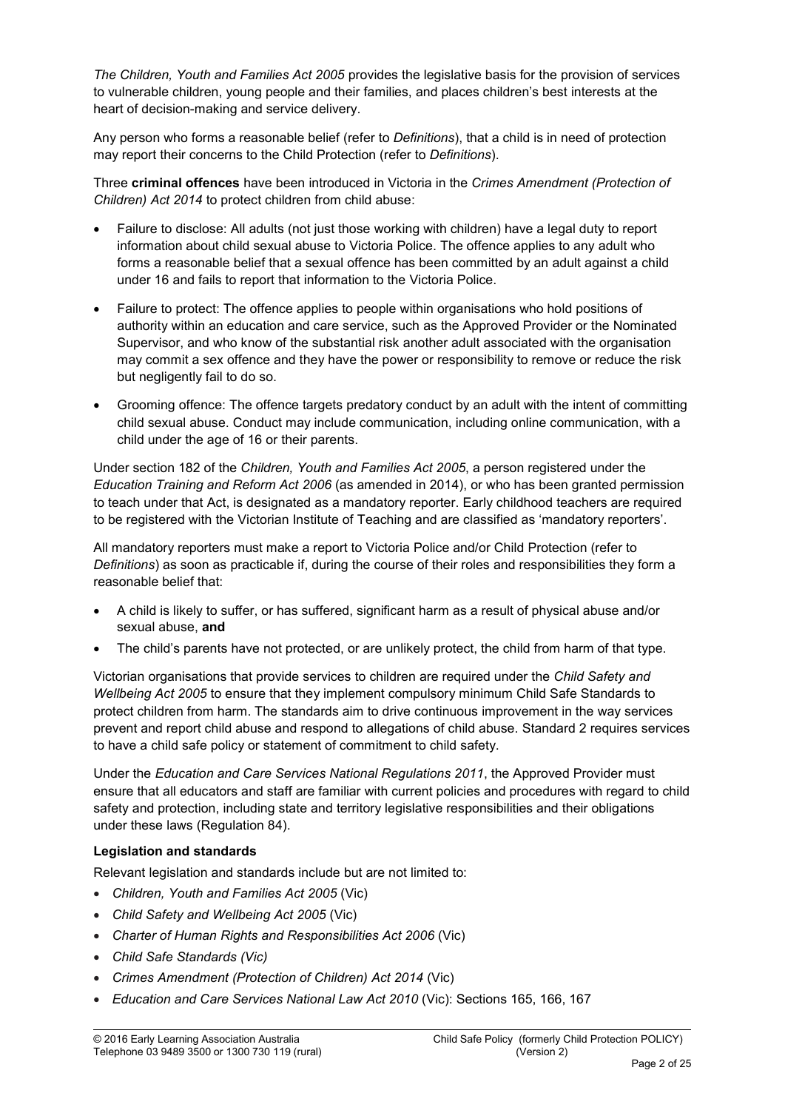*The Children, Youth and Families Act 2005* provides the legislative basis for the provision of services to vulnerable children, young people and their families, and places children's best interests at the heart of decision-making and service delivery.

Any person who forms a reasonable belief (refer to *Definitions*), that a child is in need of protection may report their concerns to the Child Protection (refer to *Definitions*).

Three criminal offences have been introduced in Victoria in the *Crimes Amendment (Protection of Children) Act 2014* to protect children from child abuse:

- Failure to disclose: All adults (not just those working with children) have a legal duty to report information about child sexual abuse to Victoria Police. The offence applies to any adult who forms a reasonable belief that a sexual offence has been committed by an adult against a child under 16 and fails to report that information to the Victoria Police.
- Failure to protect: The offence applies to people within organisations who hold positions of authority within an education and care service, such as the Approved Provider or the Nominated Supervisor, and who know of the substantial risk another adult associated with the organisation may commit a sex offence and they have the power or responsibility to remove or reduce the risk but negligently fail to do so.
- Grooming offence: The offence targets predatory conduct by an adult with the intent of committing child sexual abuse. Conduct may include communication, including online communication, with a child under the age of 16 or their parents.

Under section 182 of the *Children, Youth and Families Act 2005*, a person registered under the *Education Training and Reform Act 2006* (as amended in 2014), or who has been granted permission to teach under that Act, is designated as a mandatory reporter. Early childhood teachers are required to be registered with the Victorian Institute of Teaching and are classified as 'mandatory reporters'.

All mandatory reporters must make a report to Victoria Police and/or Child Protection (refer to *Definitions*) as soon as practicable if, during the course of their roles and responsibilities they form a reasonable belief that:

- A child is likely to suffer, or has suffered, significant harm as a result of physical abuse and/or sexual abuse, and
- The child's parents have not protected, or are unlikely protect, the child from harm of that type.

Victorian organisations that provide services to children are required under the *Child Safety and Wellbeing Act 2005* to ensure that they implement compulsory minimum Child Safe Standards to protect children from harm. The standards aim to drive continuous improvement in the way services prevent and report child abuse and respond to allegations of child abuse. Standard 2 requires services to have a child safe policy or statement of commitment to child safety.

Under the *Education and Care Services National Regulations 2011*, the Approved Provider must ensure that all educators and staff are familiar with current policies and procedures with regard to child safety and protection, including state and territory legislative responsibilities and their obligations under these laws (Regulation 84).

### Legislation and standards

Relevant legislation and standards include but are not limited to:

- *Children, Youth and Families Act 2005* (Vic)
- *Child Safety and Wellbeing Act 2005* (Vic)
- *Charter of Human Rights and Responsibilities Act 2006* (Vic)
- *Child Safe Standards (Vic)*
- *Crimes Amendment (Protection of Children) Act 2014* (Vic)
- *Education and Care Services National Law Act 2010* (Vic): Sections 165, 166, 167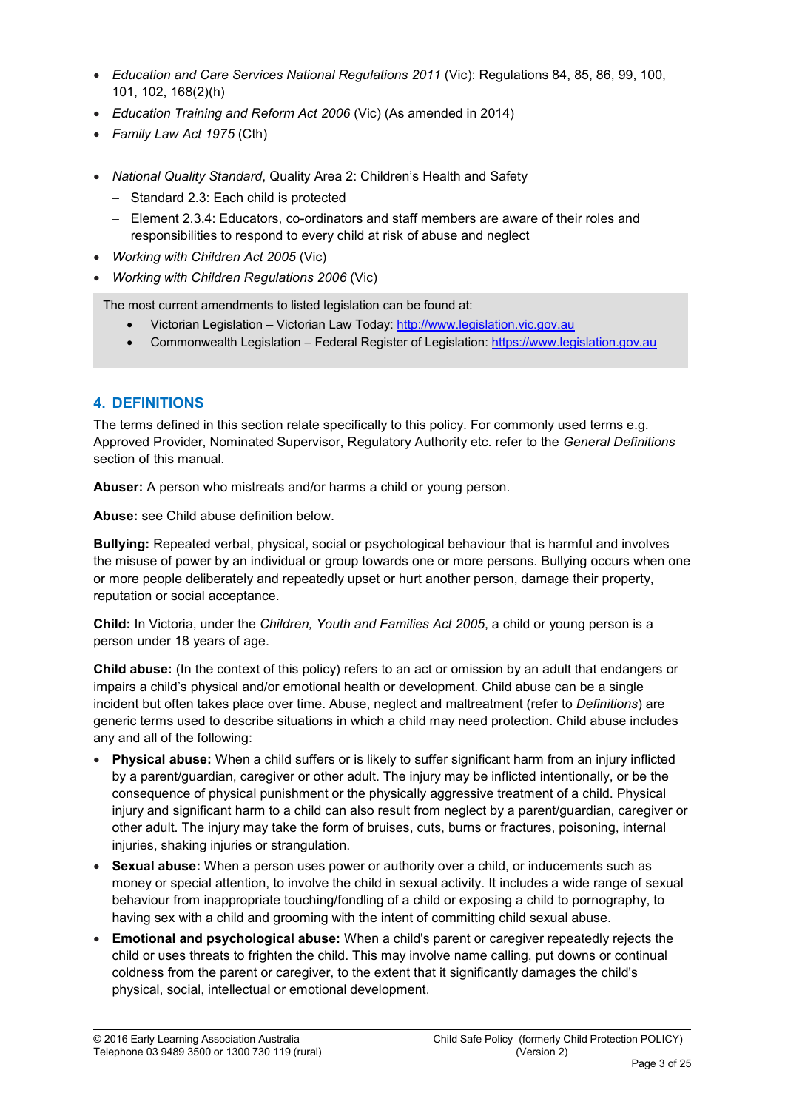- *Education and Care Services National Regulations 2011* (Vic): Regulations 84, 85, 86, 99, 100, 101, 102, 168(2)(h)
- *Education Training and Reform Act 2006* (Vic) (As amended in 2014)
- *Family Law Act 1975* (Cth)
- *National Quality Standard*, Quality Area 2: Children's Health and Safety
	- Standard 2.3: Each child is protected
	- Element 2.3.4: Educators, co-ordinators and staff members are aware of their roles and responsibilities to respond to every child at risk of abuse and neglect
- *Working with Children Act 2005* (Vic)
- *Working with Children Regulations 2006* (Vic)

The most current amendments to listed legislation can be found at:

- Victorian Legislation Victorian Law Today: http://www.legislation.vic.gov.au
- Commonwealth Legislation Federal Register of Legislation: https://www.legislation.gov.au

### 4. DEFINITIONS

The terms defined in this section relate specifically to this policy. For commonly used terms e.g. Approved Provider, Nominated Supervisor, Regulatory Authority etc. refer to the *General Definitions* section of this manual.

Abuser: A person who mistreats and/or harms a child or young person.

Abuse: see Child abuse definition below.

Bullying: Repeated verbal, physical, social or psychological behaviour that is harmful and involves the misuse of power by an individual or group towards one or more persons. Bullying occurs when one or more people deliberately and repeatedly upset or hurt another person, damage their property, reputation or social acceptance.

Child: In Victoria, under the *Children, Youth and Families Act 2005*, a child or young person is a person under 18 years of age.

Child abuse: (In the context of this policy) refers to an act or omission by an adult that endangers or impairs a child's physical and/or emotional health or development. Child abuse can be a single incident but often takes place over time. Abuse, neglect and maltreatment (refer to *Definitions*) are generic terms used to describe situations in which a child may need protection. Child abuse includes any and all of the following:

- Physical abuse: When a child suffers or is likely to suffer significant harm from an injury inflicted by a parent/guardian, caregiver or other adult. The injury may be inflicted intentionally, or be the consequence of physical punishment or the physically aggressive treatment of a child. Physical injury and significant harm to a child can also result from neglect by a parent/guardian, caregiver or other adult. The injury may take the form of bruises, cuts, burns or fractures, poisoning, internal injuries, shaking injuries or strangulation.
- Sexual abuse: When a person uses power or authority over a child, or inducements such as money or special attention, to involve the child in sexual activity. It includes a wide range of sexual behaviour from inappropriate touching/fondling of a child or exposing a child to pornography, to having sex with a child and grooming with the intent of committing child sexual abuse.
- Emotional and psychological abuse: When a child's parent or caregiver repeatedly rejects the child or uses threats to frighten the child. This may involve name calling, put downs or continual coldness from the parent or caregiver, to the extent that it significantly damages the child's physical, social, intellectual or emotional development.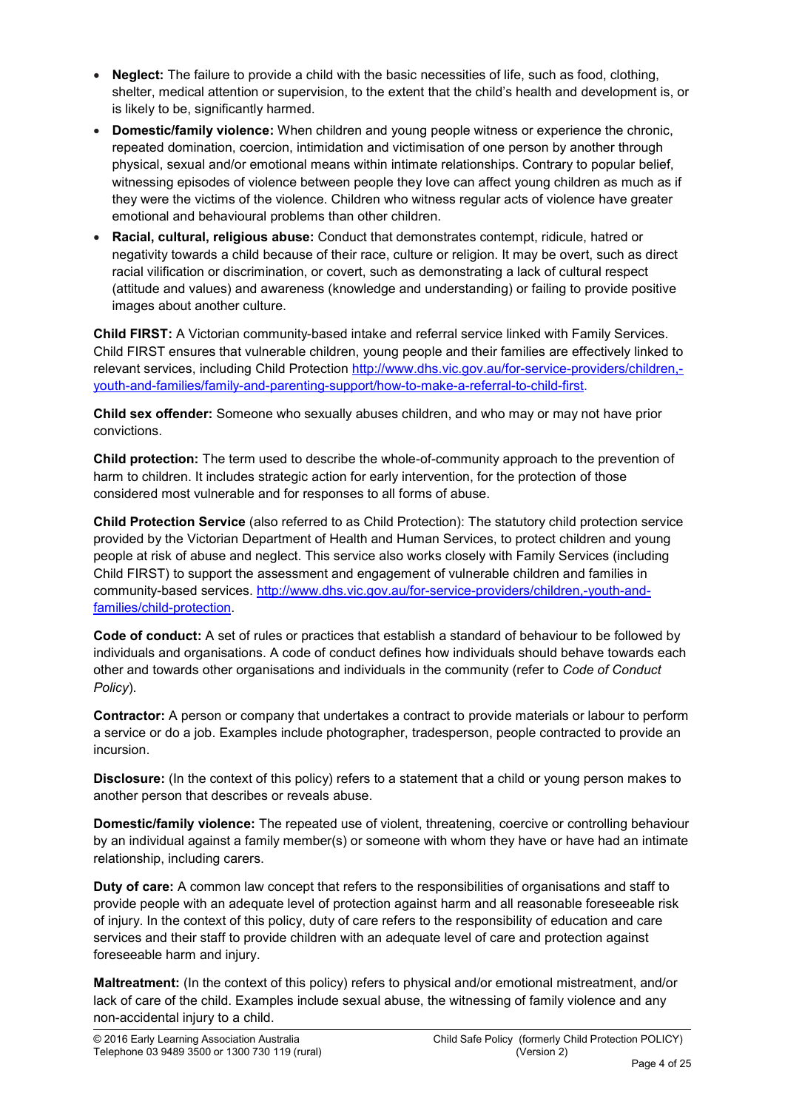- Neglect: The failure to provide a child with the basic necessities of life, such as food, clothing, shelter, medical attention or supervision, to the extent that the child's health and development is, or is likely to be, significantly harmed.
- **Domestic/family violence:** When children and young people witness or experience the chronic, repeated domination, coercion, intimidation and victimisation of one person by another through physical, sexual and/or emotional means within intimate relationships. Contrary to popular belief, witnessing episodes of violence between people they love can affect young children as much as if they were the victims of the violence. Children who witness regular acts of violence have greater emotional and behavioural problems than other children.
- Racial, cultural, religious abuse: Conduct that demonstrates contempt, ridicule, hatred or negativity towards a child because of their race, culture or religion. It may be overt, such as direct racial vilification or discrimination, or covert, such as demonstrating a lack of cultural respect (attitude and values) and awareness (knowledge and understanding) or failing to provide positive images about another culture.

Child FIRST: A Victorian community-based intake and referral service linked with Family Services. Child FIRST ensures that vulnerable children, young people and their families are effectively linked to relevant services, including Child Protection [http://www.dhs.vic.gov.au/for-service-providers/children,](http://www.dhs.vic.gov.au/for-service-providers/children,-youth-and-families/family-and-parenting-support/how-to-make-a-referral-to-child-first) [youth-and-families/family-and-parenting-support/how-to-make-a-referral-to-child-first.](http://www.dhs.vic.gov.au/for-service-providers/children,-youth-and-families/family-and-parenting-support/how-to-make-a-referral-to-child-first)

Child sex offender: Someone who sexually abuses children, and who may or may not have prior convictions.

Child protection: The term used to describe the whole-of-community approach to the prevention of harm to children. It includes strategic action for early intervention, for the protection of those considered most vulnerable and for responses to all forms of abuse.

Child Protection Service (also referred to as Child Protection): The statutory child protection service provided by the Victorian Department of Health and Human Services, to protect children and young people at risk of abuse and neglect. This service also works closely with Family Services (including Child FIRST) to support the assessment and engagement of vulnerable children and families in community-based services. [http://www.dhs.vic.gov.au/for-service-providers/children,-youth-and](http://www.dhs.vic.gov.au/for-service-providers/children,-youth-and-families/child-protection)[families/child-protection](http://www.dhs.vic.gov.au/for-service-providers/children,-youth-and-families/child-protection).

Code of conduct: A set of rules or practices that establish a standard of behaviour to be followed by individuals and organisations. A code of conduct defines how individuals should behave towards each other and towards other organisations and individuals in the community (refer to *Code of Conduct Policy*).

Contractor: A person or company that undertakes a contract to provide materials or labour to perform a service or do a job. Examples include photographer, tradesperson, people contracted to provide an incursion.

Disclosure: (In the context of this policy) refers to a statement that a child or young person makes to another person that describes or reveals abuse.

Domestic/family violence: The repeated use of violent, threatening, coercive or controlling behaviour by an individual against a family member(s) or someone with whom they have or have had an intimate relationship, including carers.

Duty of care: A common law concept that refers to the responsibilities of organisations and staff to provide people with an adequate level of protection against harm and all reasonable foreseeable risk of injury. In the context of this policy, duty of care refers to the responsibility of education and care services and their staff to provide children with an adequate level of care and protection against foreseeable harm and injury.

Maltreatment: (In the context of this policy) refers to physical and/or emotional mistreatment, and/or lack of care of the child. Examples include sexual abuse, the witnessing of family violence and any non-accidental injury to a child.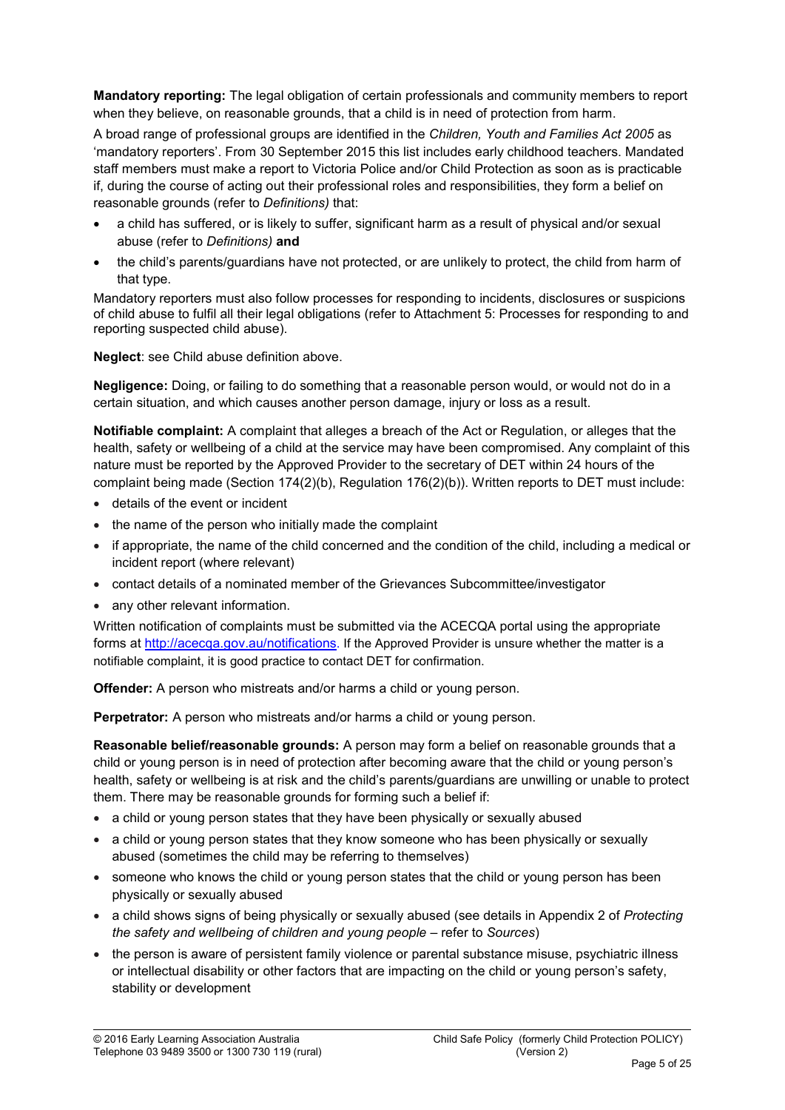Mandatory reporting: The legal obligation of certain professionals and community members to report when they believe, on reasonable grounds, that a child is in need of protection from harm.

A broad range of professional groups are identified in the *Children, Youth and Families Act 2005* as 'mandatory reporters'. From 30 September 2015 this list includes early childhood teachers. Mandated staff members must make a report to Victoria Police and/or Child Protection as soon as is practicable if, during the course of acting out their professional roles and responsibilities, they form a belief on reasonable grounds (refer to *Definitions)* that:

- a child has suffered, or is likely to suffer, significant harm as a result of physical and/or sexual abuse (refer to *Definitions)* and
- the child's parents/guardians have not protected, or are unlikely to protect, the child from harm of that type.

Mandatory reporters must also follow processes for responding to incidents, disclosures or suspicions of child abuse to fulfil all their legal obligations (refer to Attachment 5: Processes for responding to and reporting suspected child abuse).

Neglect: see Child abuse definition above.

Negligence: Doing, or failing to do something that a reasonable person would, or would not do in a certain situation, and which causes another person damage, injury or loss as a result.

Notifiable complaint: A complaint that alleges a breach of the Act or Regulation, or alleges that the health, safety or wellbeing of a child at the service may have been compromised. Any complaint of this nature must be reported by the Approved Provider to the secretary of DET within 24 hours of the complaint being made (Section 174(2)(b), Regulation 176(2)(b)). Written reports to DET must include:

- details of the event or incident
- the name of the person who initially made the complaint
- if appropriate, the name of the child concerned and the condition of the child, including a medical or incident report (where relevant)
- contact details of a nominated member of the Grievances Subcommittee/investigator
- any other relevant information.

Written [notification of complaints must be](http://acecqa.gov.au/notifications) submitted via the ACECQA portal using the appropriate forms at http://acecqa.gov.au/notifications. If the Approved Provider is unsure whether the matter is a notifiable complaint, it is good practice to contact DET for confirmation.

**Offender:** A person who mistreats and/or harms a child or young person.

Perpetrator: A person who mistreats and/or harms a child or young person.

Reasonable belief/reasonable grounds: A person may form a belief on reasonable grounds that a child or young person is in need of protection after becoming aware that the child or young person's health, safety or wellbeing is at risk and the child's parents/guardians are unwilling or unable to protect them. There may be reasonable grounds for forming such a belief if:

- a child or young person states that they have been physically or sexually abused
- a child or young person states that they know someone who has been physically or sexually abused (sometimes the child may be referring to themselves)
- someone who knows the child or young person states that the child or young person has been physically or sexually abused
- a child shows signs of being physically or sexually abused (see details in Appendix 2 of *Protecting the safety and wellbeing of children and young people* – refer to *Sources*)
- the person is aware of persistent family violence or parental substance misuse, psychiatric illness or intellectual disability or other factors that are impacting on the child or young person's safety, stability or development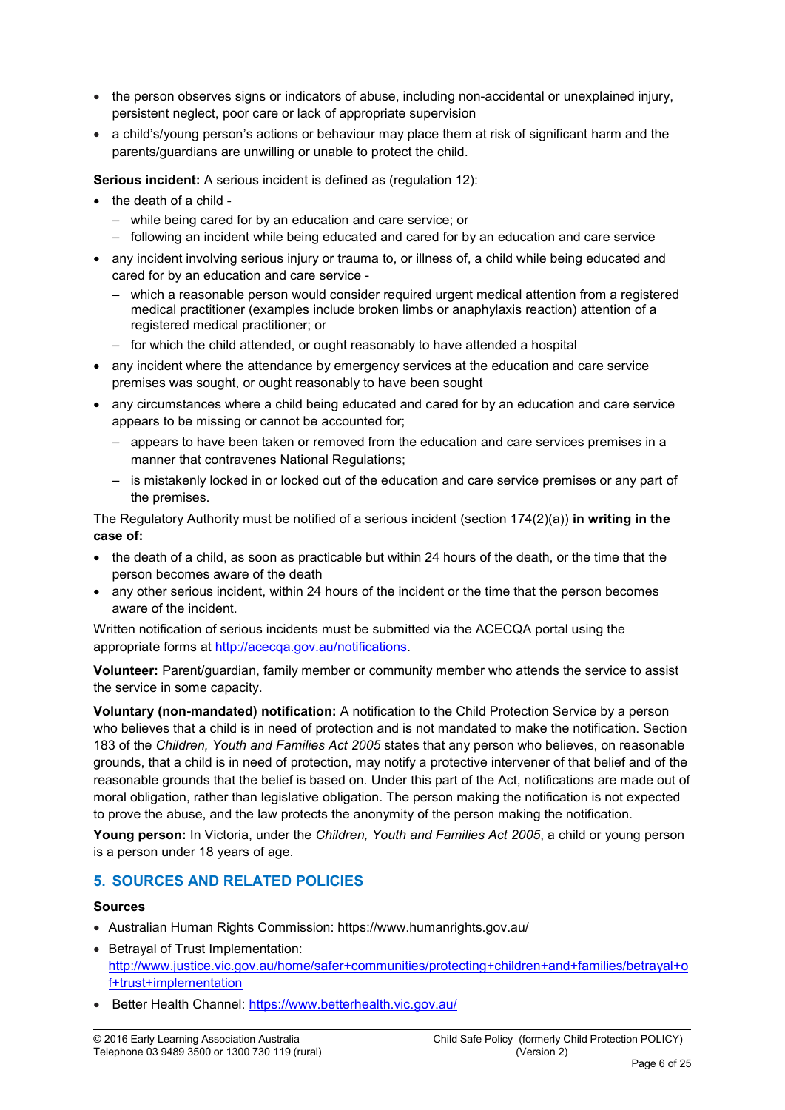- the person observes signs or indicators of abuse, including non-accidental or unexplained injury, persistent neglect, poor care or lack of appropriate supervision
- a child's/young person's actions or behaviour may place them at risk of significant harm and the parents/guardians are unwilling or unable to protect the child.

Serious incident: A serious incident is defined as (regulation 12):

- the death of a child -
	- while being cared for by an education and care service; or
	- following an incident while being educated and cared for by an education and care service
- any incident involving serious injury or trauma to, or illness of, a child while being educated and cared for by an education and care service -
	- which a reasonable person would consider required urgent medical attention from a registered medical practitioner (examples include broken limbs or anaphylaxis reaction) attention of a registered medical practitioner; or
	- for which the child attended, or ought reasonably to have attended a hospital
- any incident where the attendance by emergency services at the education and care service premises was sought, or ought reasonably to have been sought
- any circumstances where a child being educated and cared for by an education and care service appears to be missing or cannot be accounted for;
	- appears to have been taken or removed from the education and care services premises in a manner that contravenes National Regulations;
	- is mistakenly locked in or locked out of the education and care service premises or any part of the premises.

The Regulatory Authority must be notified of a serious incident (section  $174(2)(a)$ ) in writing in the case of:

- the death of a child, as soon as practicable but within 24 hours of the death, or the time that the person becomes aware of the death
- any other serious incident, within 24 hours of the incident or the time that the person becomes aware of the incident.

Written notification of serious incidents must be submitted via the ACECQA portal using the appropriate forms at<http://acecqa.gov.au/notifications>.

Volunteer: Parent/guardian, family member or community member who attends the service to assist the service in some capacity.

Voluntary (non-mandated) notification: A notification to the Child Protection Service by a person who believes that a child is in need of protection and is not mandated to make the notification. Section 183 of the *Children, Youth and Families Act 2005* states that any person who believes, on reasonable grounds, that a child is in need of protection, may notify a protective intervener of that belief and of the reasonable grounds that the belief is based on. Under this part of the Act, notifications are made out of moral obligation, rather than legislative obligation. The person making the notification is not expected to prove the abuse, and the law protects the anonymity of the person making the notification.

Young person: In Victoria, under the *Children, Youth and Families Act 2005*, a child or young person is a person under 18 years of age.

### 5. SOURCES AND RELATED POLICIES

#### Sources

- Australian Human Rights Commission: https://www.humanrights.gov.au/
- Betrayal of Trust Implementation: [http://www.justice.vic.gov.au/home/safer+communities/protecting+children+and+families/betrayal+o](http://www.justice.vic.gov.au/home/safer+communities/protecting+children+and+families/betrayal+of+trust+implementation) [f+trust+implementation](http://www.justice.vic.gov.au/home/safer+communities/protecting+children+and+families/betrayal+of+trust+implementation)
- Better Health Channel: https://www.betterhealth.vic.gov.au/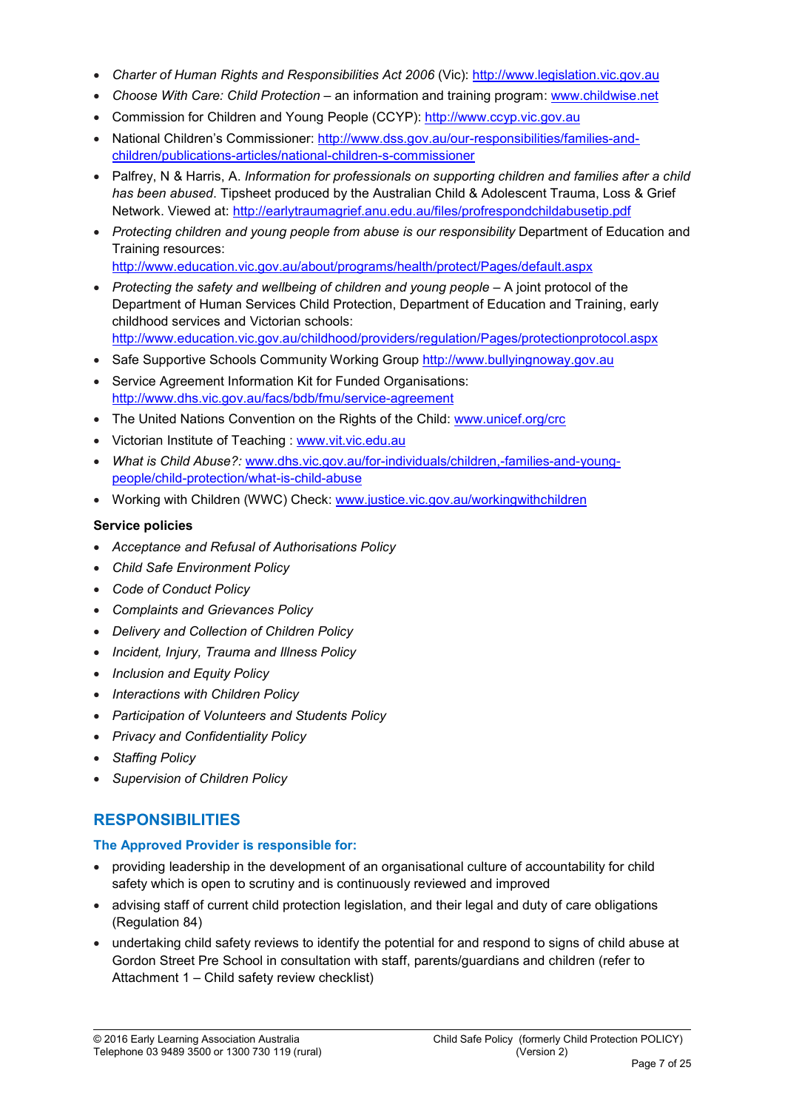- *Charter of Human Rights and Responsibilities Act 2006* (Vic): [http://www.legislation.vic.gov.au](http://www.legislation.vic.gov.au/)
- *Choose With Care: Child Protection*  an information and training program: [www.childwise.net](http://www.childwise.net/)
- Commission for Children and Young People (CCYP): [http://www.ccyp.vic.gov.au](http://www.ccyp.vic.gov.au/)
- National Children's Commissioner: [http://www.dss.gov.au/our-responsibilities/families-and](http://www.dss.gov.au/our-responsibilities/families-and-children/publications-articles/national-children-s-commissioner)[children/publications-articles/national-children-s-commissioner](http://www.dss.gov.au/our-responsibilities/families-and-children/publications-articles/national-children-s-commissioner)
- Palfrey, N & Harris, A. *Information for professionals on supporting children and families after a child has been abused*. Tipsheet produced by the Australian Child & Adolescent Trauma, Loss & Grief Network. Viewed at: <http://earlytraumagrief.anu.edu.au/files/profrespondchildabusetip.pdf>
- *Protecting children and young people from abuse is our responsibility* Department of Education and Training resources: <http://www.education.vic.gov.au/about/programs/health/protect/Pages/default.aspx>
- *Protecting the safety and wellbeing of children and young people* A joint protocol of the Department of Human Services Child Protection, Department of Education and Training, early childhood services and Victorian schools: <http://www.education.vic.gov.au/childhood/providers/regulation/Pages/protectionprotocol.aspx>
- Safe Supportive Schools Community Working Group [http://www.bullyingnoway.gov.au](http://www.bullyingnoway.gov.au/)
- Service Agreement Information Kit for Funded Organisations: <http://www.dhs.vic.gov.au/facs/bdb/fmu/service-agreement>
- The United Nations Convention on the Rights of the Child: [www.unicef.org/crc](http://www.unicef.org/crc)
- Victorian Institute of Teaching : [www.vit.vic.edu.au](http://www.vit.vic.edu.au/)
- *What is Child Abuse?:* [www.dhs.vic.gov.au/for-individuals/children,-families-and-young](http://www.dhs.vic.gov.au/for-individuals/children,-families-and-young-people/child-protection/what-is-child-abuse)[people/child-protection/what-is-child-abuse](http://www.dhs.vic.gov.au/for-individuals/children,-families-and-young-people/child-protection/what-is-child-abuse)
- Working with Children (WWC) Check: [www.justice.vic.gov.au/workingwithchildren](http://www.justice.vic.gov.au/workingwithchildren)

#### Service policies

- *Acceptance and Refusal of Authorisations Policy*
- *Child Safe Environment Policy*
- *Code of Conduct Policy*
- *Complaints and Grievances Policy*
- *Delivery and Collection of Children Policy*
- *Incident, Injury, Trauma and Illness Policy*
- *Inclusion and Equity Policy*
- *Interactions with Children Policy*
- *Participation of Volunteers and Students Policy*
- *Privacy and Confidentiality Policy*
- *Staffing Policy*
- *Supervision of Children Policy*

### **RESPONSIBILITIES**

### The Approved Provider is responsible for:

- providing leadership in the development of an organisational culture of accountability for child safety which is open to scrutiny and is continuously reviewed and improved
- advising staff of current child protection legislation, and their legal and duty of care obligations (Regulation 84)
- undertaking child safety reviews to identify the potential for and respond to signs of child abuse at Gordon Street Pre School in consultation with staff, parents/guardians and children (refer to Attachment 1 – Child safety review checklist)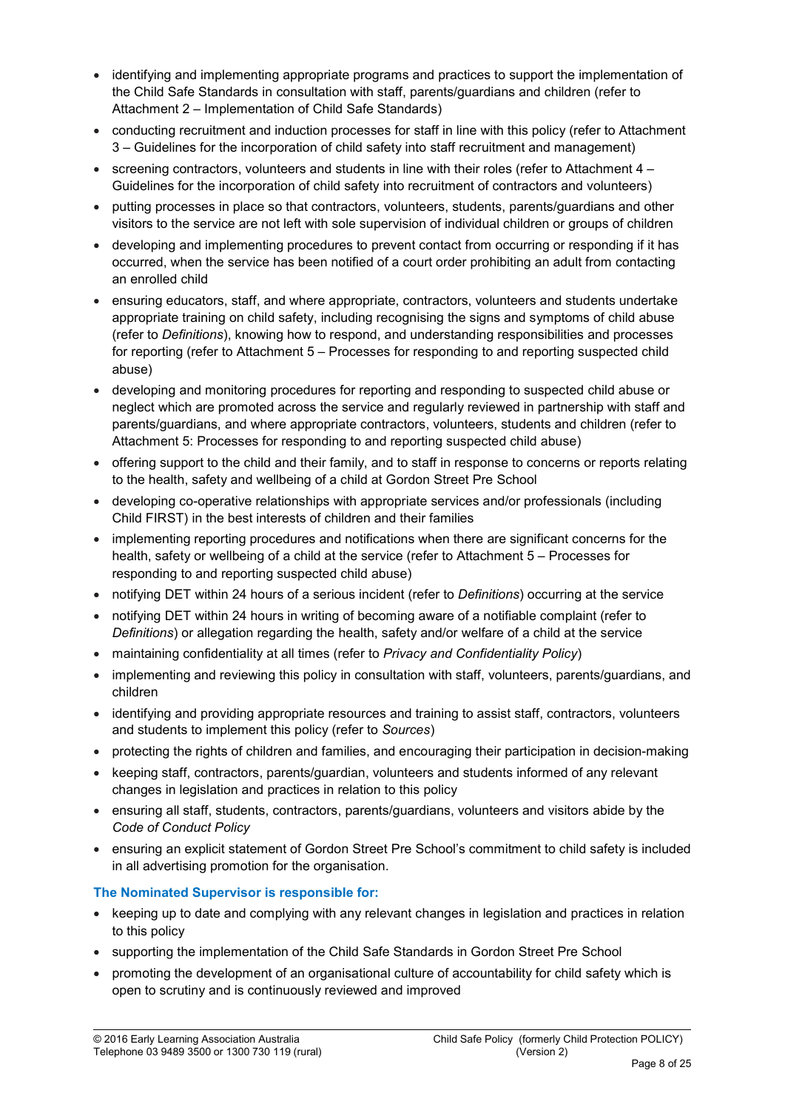- identifying and implementing appropriate programs and practices to support the implementation of the Child Safe Standards in consultation with staff, parents/guardians and children (refer to Attachment 2 – Implementation of Child Safe Standards)
- conducting recruitment and induction processes for staff in line with this policy (refer to Attachment 3 – Guidelines for the incorporation of child safety into staff recruitment and management)
- $\bullet$  screening contractors, volunteers and students in line with their roles (refer to Attachment 4 Guidelines for the incorporation of child safety into recruitment of contractors and volunteers)
- putting processes in place so that contractors, volunteers, students, parents/guardians and other visitors to the service are not left with sole supervision of individual children or groups of children
- developing and implementing procedures to prevent contact from occurring or responding if it has occurred, when the service has been notified of a court order prohibiting an adult from contacting an enrolled child
- ensuring educators, staff, and where appropriate, contractors, volunteers and students undertake appropriate training on child safety, including recognising the signs and symptoms of child abuse (refer to *Definitions*), knowing how to respond, and understanding responsibilities and processes for reporting (refer to Attachment 5 – Processes for responding to and reporting suspected child abuse)
- developing and monitoring procedures for reporting and responding to suspected child abuse or neglect which are promoted across the service and regularly reviewed in partnership with staff and parents/guardians, and where appropriate contractors, volunteers, students and children (refer to Attachment 5: Processes for responding to and reporting suspected child abuse)
- offering support to the child and their family, and to staff in response to concerns or reports relating to the health, safety and wellbeing of a child at Gordon Street Pre School
- developing co-operative relationships with appropriate services and/or professionals (including Child FIRST) in the best interests of children and their families
- implementing reporting procedures and notifications when there are significant concerns for the health, safety or wellbeing of a child at the service (refer to Attachment 5 – Processes for responding to and reporting suspected child abuse)
- notifying DET within 24 hours of a serious incident (refer to *Definitions*) occurring at the service
- notifying DET within 24 hours in writing of becoming aware of a notifiable complaint (refer to *Definitions*) or allegation regarding the health, safety and/or welfare of a child at the service
- maintaining confidentiality at all times (refer to *Privacy and Confidentiality Policy*)
- implementing and reviewing this policy in consultation with staff, volunteers, parents/guardians, and children
- identifying and providing appropriate resources and training to assist staff, contractors, volunteers and students to implement this policy (refer to *Sources*)
- protecting the rights of children and families, and encouraging their participation in decision-making
- keeping staff, contractors, parents/guardian, volunteers and students informed of any relevant changes in legislation and practices in relation to this policy
- ensuring all staff, students, contractors, parents/guardians, volunteers and visitors abide by the *Code of Conduct Policy*
- ensuring an explicit statement of Gordon Street Pre School's commitment to child safety is included in all advertising promotion for the organisation.

### The Nominated Supervisor is responsible for:

- keeping up to date and complying with any relevant changes in legislation and practices in relation to this policy
- supporting the implementation of the Child Safe Standards in Gordon Street Pre School
- promoting the development of an organisational culture of accountability for child safety which is open to scrutiny and is continuously reviewed and improved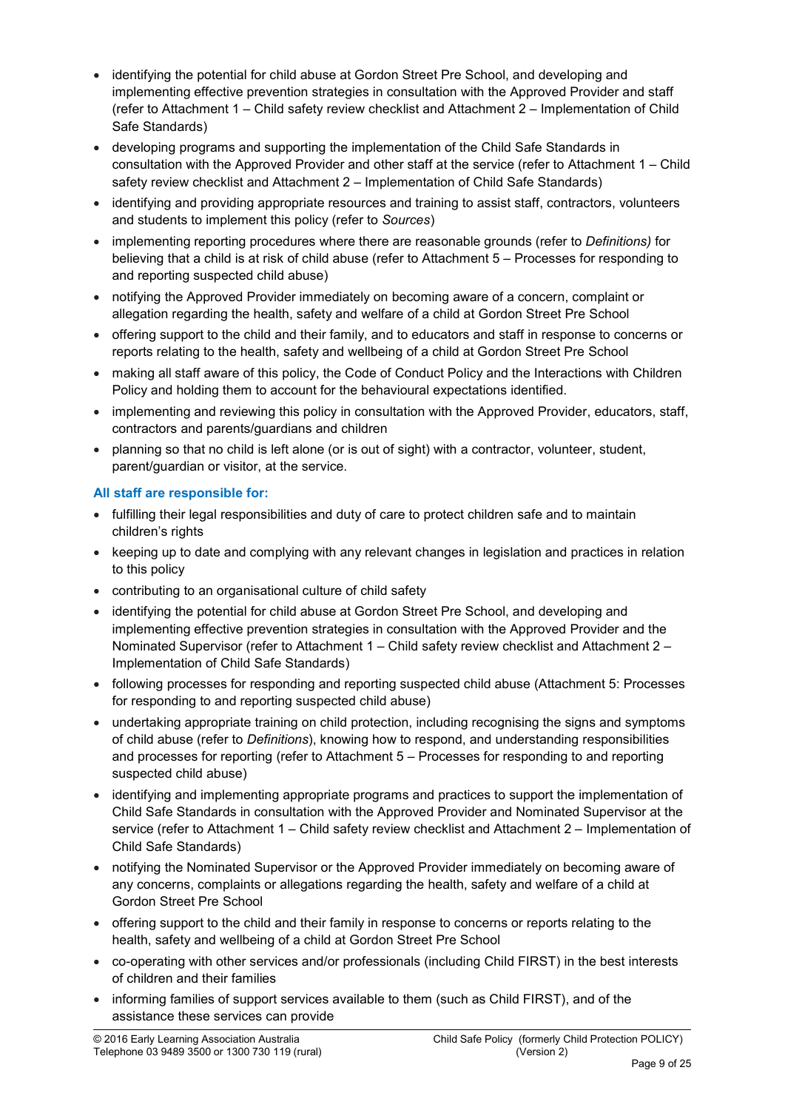- identifying the potential for child abuse at Gordon Street Pre School, and developing and implementing effective prevention strategies in consultation with the Approved Provider and staff (refer to Attachment 1 – Child safety review checklist and Attachment 2 – Implementation of Child Safe Standards)
- developing programs and supporting the implementation of the Child Safe Standards in consultation with the Approved Provider and other staff at the service (refer to Attachment 1 – Child safety review checklist and Attachment 2 – Implementation of Child Safe Standards)
- identifying and providing appropriate resources and training to assist staff, contractors, volunteers and students to implement this policy (refer to *Sources*)
- implementing reporting procedures where there are reasonable grounds (refer to *Definitions)* for believing that a child is at risk of child abuse (refer to Attachment 5 – Processes for responding to and reporting suspected child abuse)
- notifying the Approved Provider immediately on becoming aware of a concern, complaint or allegation regarding the health, safety and welfare of a child at Gordon Street Pre School
- offering support to the child and their family, and to educators and staff in response to concerns or reports relating to the health, safety and wellbeing of a child at Gordon Street Pre School
- making all staff aware of this policy, the Code of Conduct Policy and the Interactions with Children Policy and holding them to account for the behavioural expectations identified.
- implementing and reviewing this policy in consultation with the Approved Provider, educators, staff, contractors and parents/guardians and children
- planning so that no child is left alone (or is out of sight) with a contractor, volunteer, student, parent/guardian or visitor, at the service.

### All staff are responsible for:

- fulfilling their legal responsibilities and duty of care to protect children safe and to maintain children's rights
- keeping up to date and complying with any relevant changes in legislation and practices in relation to this policy
- contributing to an organisational culture of child safety
- identifying the potential for child abuse at Gordon Street Pre School, and developing and implementing effective prevention strategies in consultation with the Approved Provider and the Nominated Supervisor (refer to Attachment 1 – Child safety review checklist and Attachment 2 – Implementation of Child Safe Standards)
- following processes for responding and reporting suspected child abuse (Attachment 5: Processes for responding to and reporting suspected child abuse)
- undertaking appropriate training on child protection, including recognising the signs and symptoms of child abuse (refer to *Definitions*), knowing how to respond, and understanding responsibilities and processes for reporting (refer to Attachment 5 – Processes for responding to and reporting suspected child abuse)
- identifying and implementing appropriate programs and practices to support the implementation of Child Safe Standards in consultation with the Approved Provider and Nominated Supervisor at the service (refer to Attachment 1 – Child safety review checklist and Attachment 2 – Implementation of Child Safe Standards)
- notifying the Nominated Supervisor or the Approved Provider immediately on becoming aware of any concerns, complaints or allegations regarding the health, safety and welfare of a child at Gordon Street Pre School
- offering support to the child and their family in response to concerns or reports relating to the health, safety and wellbeing of a child at Gordon Street Pre School
- co-operating with other services and/or professionals (including Child FIRST) in the best interests of children and their families
- informing families of support services available to them (such as Child FIRST), and of the assistance these services can provide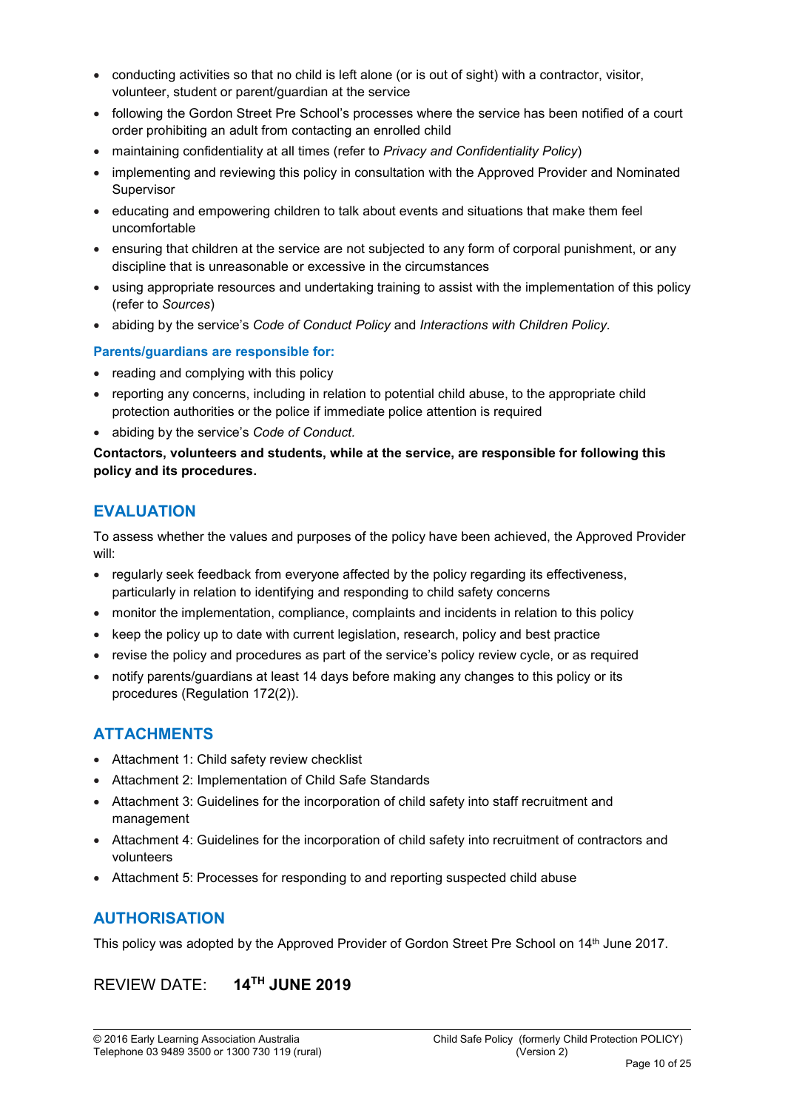- conducting activities so that no child is left alone (or is out of sight) with a contractor, visitor, volunteer, student or parent/guardian at the service
- following the Gordon Street Pre School's processes where the service has been notified of a court order prohibiting an adult from contacting an enrolled child
- maintaining confidentiality at all times (refer to *Privacy and Confidentiality Policy*)
- implementing and reviewing this policy in consultation with the Approved Provider and Nominated Supervisor
- educating and empowering children to talk about events and situations that make them feel uncomfortable
- ensuring that children at the service are not subjected to any form of corporal punishment, or any discipline that is unreasonable or excessive in the circumstances
- using appropriate resources and undertaking training to assist with the implementation of this policy (refer to *Sources*)
- abiding by the service's *Code of Conduct Policy* and *Interactions with Children Policy.*

#### Parents/guardians are responsible for:

- reading and complying with this policy
- reporting any concerns, including in relation to potential child abuse, to the appropriate child protection authorities or the police if immediate police attention is required
- abiding by the service's *Code of Conduct.*

Contactors, volunteers and students, while at the service, are responsible for following this policy and its procedures.

## **EVALUATION**

To assess whether the values and purposes of the policy have been achieved, the Approved Provider will:

- regularly seek feedback from everyone affected by the policy regarding its effectiveness, particularly in relation to identifying and responding to child safety concerns
- monitor the implementation, compliance, complaints and incidents in relation to this policy
- keep the policy up to date with current legislation, research, policy and best practice
- revise the policy and procedures as part of the service's policy review cycle, or as required
- notify parents/guardians at least 14 days before making any changes to this policy or its procedures (Regulation 172(2)).

# ATTACHMENTS

- Attachment 1: Child safety review checklist
- Attachment 2: Implementation of Child Safe Standards
- Attachment 3: Guidelines for the incorporation of child safety into staff recruitment and management
- Attachment 4: Guidelines for the incorporation of child safety into recruitment of contractors and volunteers
- Attachment 5: Processes for responding to and reporting suspected child abuse

# **AUTHORISATION**

This policy was adopted by the Approved Provider of Gordon Street Pre School on 14<sup>th</sup> June 2017.

# REVIEW DATE: 14TH JUNE 2019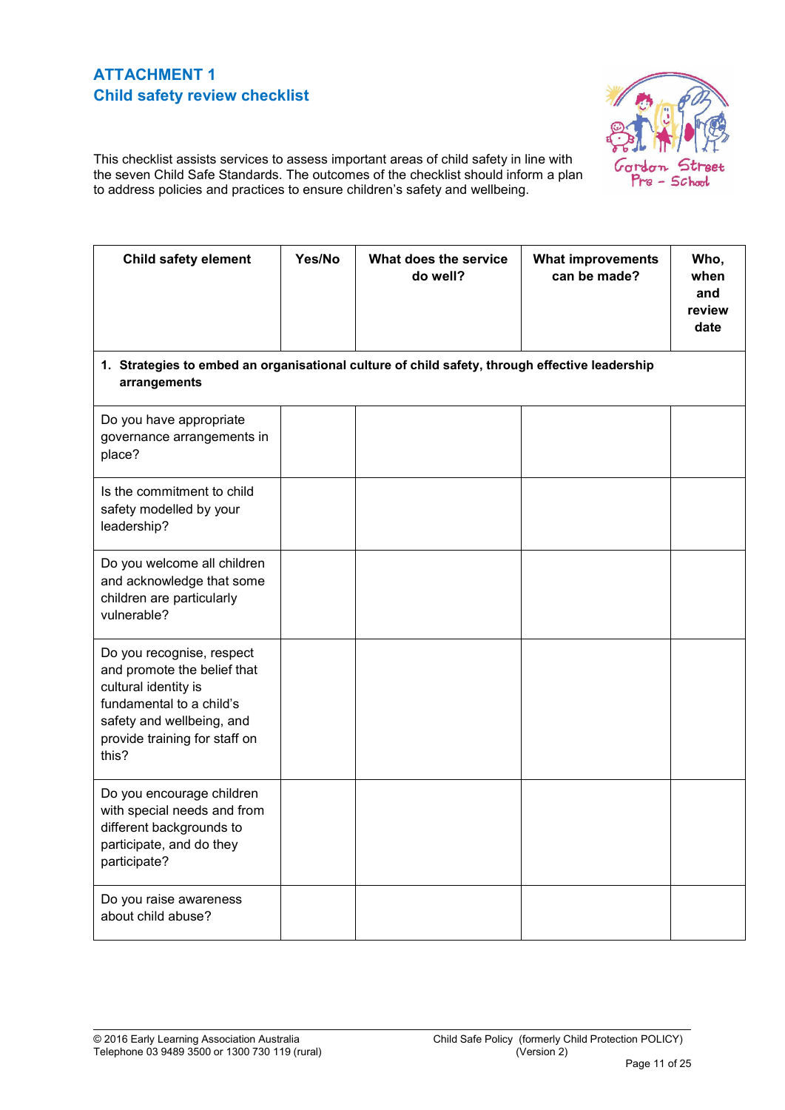# ATTACHMENT 1 Child safety review checklist



This checklist assists services to assess important areas of child safety in line with the seven Child Safe Standards. The outcomes of the checklist should inform a plan to address policies and practices to ensure children's safety and wellbeing.

| <b>Child safety element</b>                                                                                                                                                         | Yes/No | What does the service<br>do well? | <b>What improvements</b><br>can be made? | Who,<br>when<br>and<br>review<br>date |
|-------------------------------------------------------------------------------------------------------------------------------------------------------------------------------------|--------|-----------------------------------|------------------------------------------|---------------------------------------|
| 1. Strategies to embed an organisational culture of child safety, through effective leadership<br>arrangements                                                                      |        |                                   |                                          |                                       |
| Do you have appropriate<br>governance arrangements in<br>place?                                                                                                                     |        |                                   |                                          |                                       |
| Is the commitment to child<br>safety modelled by your<br>leadership?                                                                                                                |        |                                   |                                          |                                       |
| Do you welcome all children<br>and acknowledge that some<br>children are particularly<br>vulnerable?                                                                                |        |                                   |                                          |                                       |
| Do you recognise, respect<br>and promote the belief that<br>cultural identity is<br>fundamental to a child's<br>safety and wellbeing, and<br>provide training for staff on<br>this? |        |                                   |                                          |                                       |
| Do you encourage children<br>with special needs and from<br>different backgrounds to<br>participate, and do they<br>participate?                                                    |        |                                   |                                          |                                       |
| Do you raise awareness<br>about child abuse?                                                                                                                                        |        |                                   |                                          |                                       |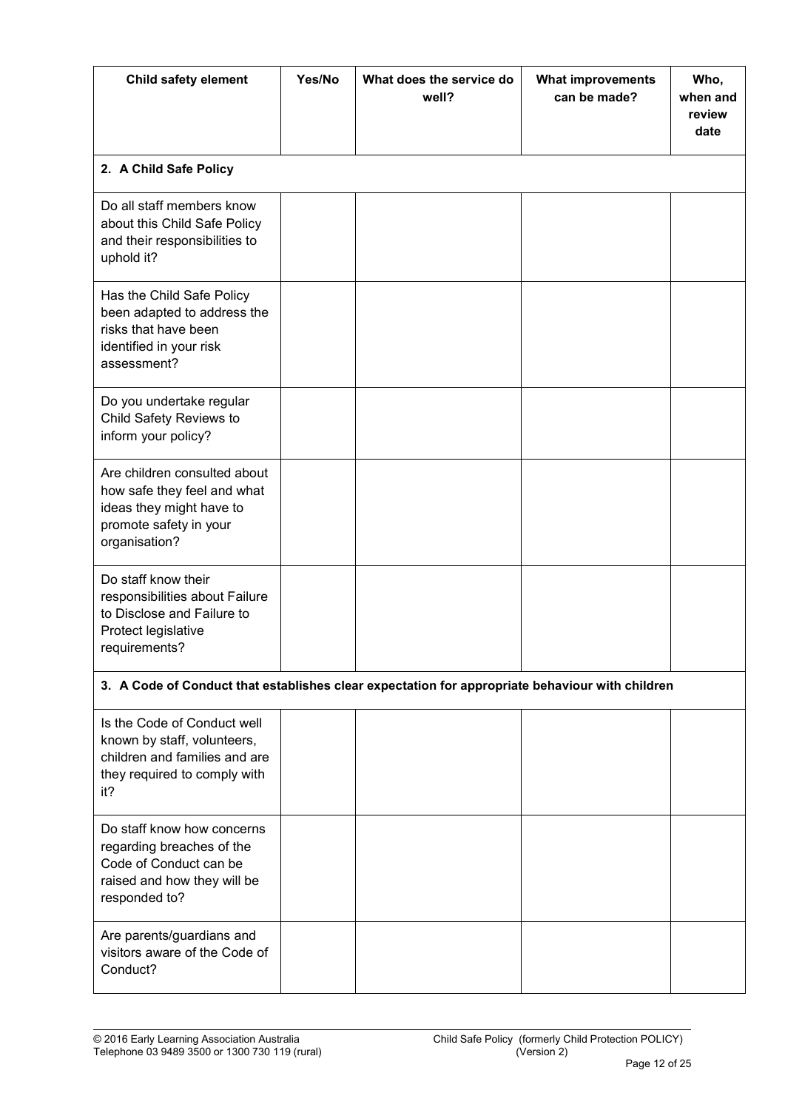| <b>Child safety element</b>                                                                                                        | Yes/No | What does the service do<br>well? | <b>What improvements</b><br>can be made? | Who,<br>when and<br>review<br>date |
|------------------------------------------------------------------------------------------------------------------------------------|--------|-----------------------------------|------------------------------------------|------------------------------------|
| 2. A Child Safe Policy                                                                                                             |        |                                   |                                          |                                    |
| Do all staff members know<br>about this Child Safe Policy<br>and their responsibilities to<br>uphold it?                           |        |                                   |                                          |                                    |
| Has the Child Safe Policy<br>been adapted to address the<br>risks that have been<br>identified in your risk<br>assessment?         |        |                                   |                                          |                                    |
| Do you undertake regular<br>Child Safety Reviews to<br>inform your policy?                                                         |        |                                   |                                          |                                    |
| Are children consulted about<br>how safe they feel and what<br>ideas they might have to<br>promote safety in your<br>organisation? |        |                                   |                                          |                                    |
| Do staff know their<br>responsibilities about Failure<br>to Disclose and Failure to<br>Protect legislative<br>requirements?        |        |                                   |                                          |                                    |
| 3. A Code of Conduct that establishes clear expectation for appropriate behaviour with children                                    |        |                                   |                                          |                                    |
| Is the Code of Conduct well<br>known by staff, volunteers,<br>children and families and are<br>they required to comply with<br>it? |        |                                   |                                          |                                    |
| Do staff know how concerns<br>regarding breaches of the<br>Code of Conduct can be<br>raised and how they will be<br>responded to?  |        |                                   |                                          |                                    |
| Are parents/guardians and<br>visitors aware of the Code of<br>Conduct?                                                             |        |                                   |                                          |                                    |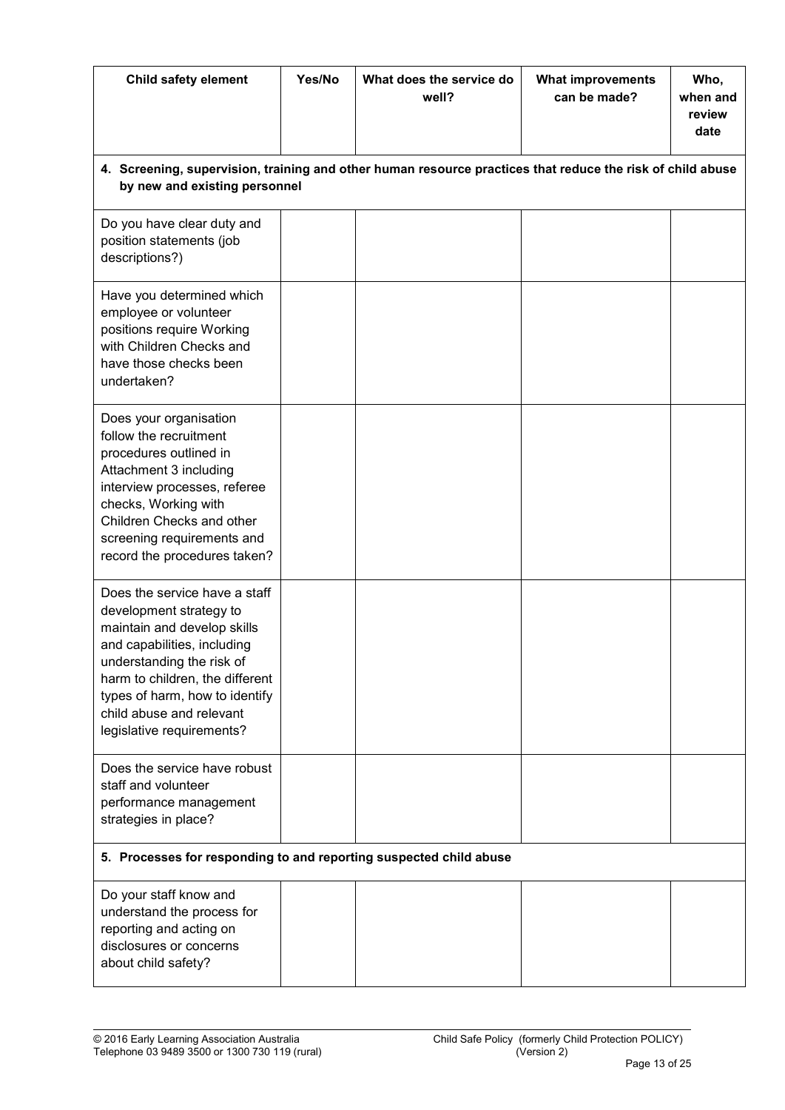| Child safety element                                                                                                                                                                                                                                                              | Yes/No | What does the service do<br>well? | <b>What improvements</b><br>can be made? | Who,<br>when and<br>review<br>date |
|-----------------------------------------------------------------------------------------------------------------------------------------------------------------------------------------------------------------------------------------------------------------------------------|--------|-----------------------------------|------------------------------------------|------------------------------------|
| 4. Screening, supervision, training and other human resource practices that reduce the risk of child abuse<br>by new and existing personnel                                                                                                                                       |        |                                   |                                          |                                    |
| Do you have clear duty and<br>position statements (job<br>descriptions?)                                                                                                                                                                                                          |        |                                   |                                          |                                    |
| Have you determined which<br>employee or volunteer<br>positions require Working<br>with Children Checks and<br>have those checks been<br>undertaken?                                                                                                                              |        |                                   |                                          |                                    |
| Does your organisation<br>follow the recruitment<br>procedures outlined in<br>Attachment 3 including<br>interview processes, referee<br>checks, Working with<br>Children Checks and other<br>screening requirements and<br>record the procedures taken?                           |        |                                   |                                          |                                    |
| Does the service have a staff<br>development strategy to<br>maintain and develop skills<br>and capabilities, including<br>understanding the risk of<br>harm to children, the different<br>types of harm, how to identify<br>child abuse and relevant<br>legislative requirements? |        |                                   |                                          |                                    |
| Does the service have robust<br>staff and volunteer<br>performance management<br>strategies in place?                                                                                                                                                                             |        |                                   |                                          |                                    |
| 5. Processes for responding to and reporting suspected child abuse                                                                                                                                                                                                                |        |                                   |                                          |                                    |
| Do your staff know and<br>understand the process for<br>reporting and acting on<br>disclosures or concerns<br>about child safety?                                                                                                                                                 |        |                                   |                                          |                                    |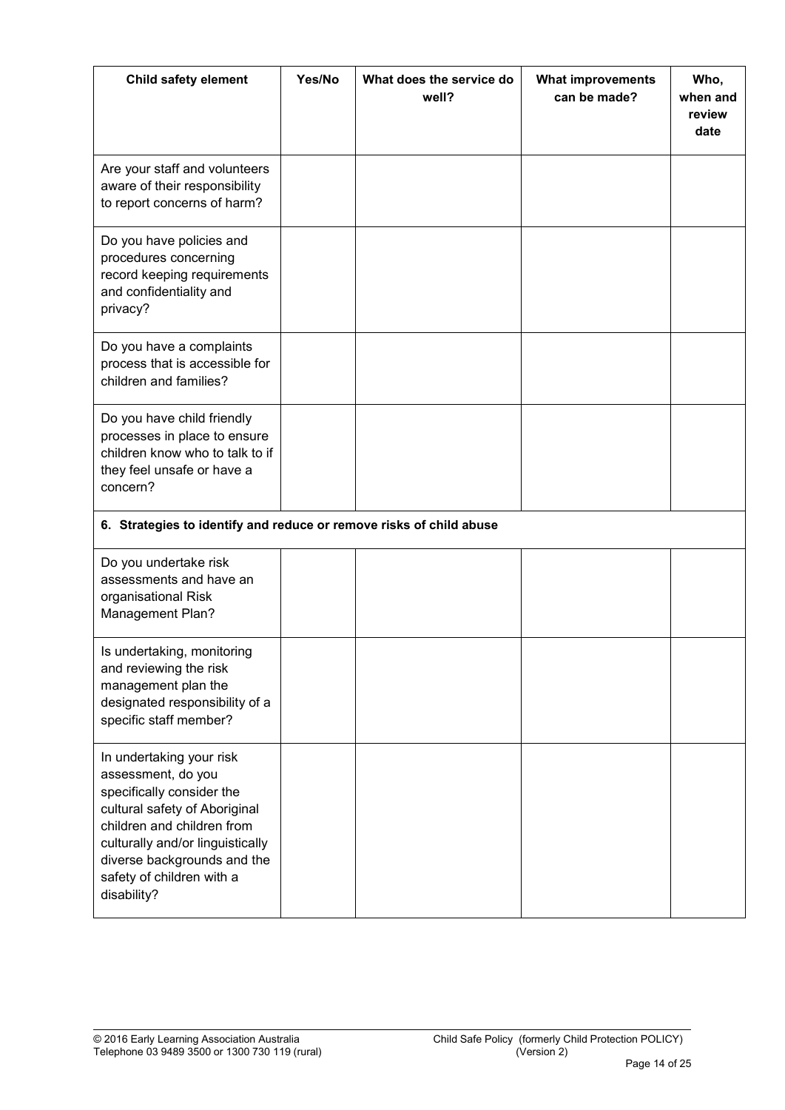| Child safety element                                                                                                                                                                                                                                      | Yes/No | What does the service do<br>well? | <b>What improvements</b><br>can be made? | Who,<br>when and<br>review<br>date |
|-----------------------------------------------------------------------------------------------------------------------------------------------------------------------------------------------------------------------------------------------------------|--------|-----------------------------------|------------------------------------------|------------------------------------|
| Are your staff and volunteers<br>aware of their responsibility<br>to report concerns of harm?                                                                                                                                                             |        |                                   |                                          |                                    |
| Do you have policies and<br>procedures concerning<br>record keeping requirements<br>and confidentiality and<br>privacy?                                                                                                                                   |        |                                   |                                          |                                    |
| Do you have a complaints<br>process that is accessible for<br>children and families?                                                                                                                                                                      |        |                                   |                                          |                                    |
| Do you have child friendly<br>processes in place to ensure<br>children know who to talk to if<br>they feel unsafe or have a<br>concern?                                                                                                                   |        |                                   |                                          |                                    |
| 6. Strategies to identify and reduce or remove risks of child abuse                                                                                                                                                                                       |        |                                   |                                          |                                    |
| Do you undertake risk<br>assessments and have an<br>organisational Risk<br>Management Plan?                                                                                                                                                               |        |                                   |                                          |                                    |
| Is undertaking, monitoring<br>and reviewing the risk<br>management plan the<br>designated responsibility of a<br>specific staff member?                                                                                                                   |        |                                   |                                          |                                    |
| In undertaking your risk<br>assessment, do you<br>specifically consider the<br>cultural safety of Aboriginal<br>children and children from<br>culturally and/or linguistically<br>diverse backgrounds and the<br>safety of children with a<br>disability? |        |                                   |                                          |                                    |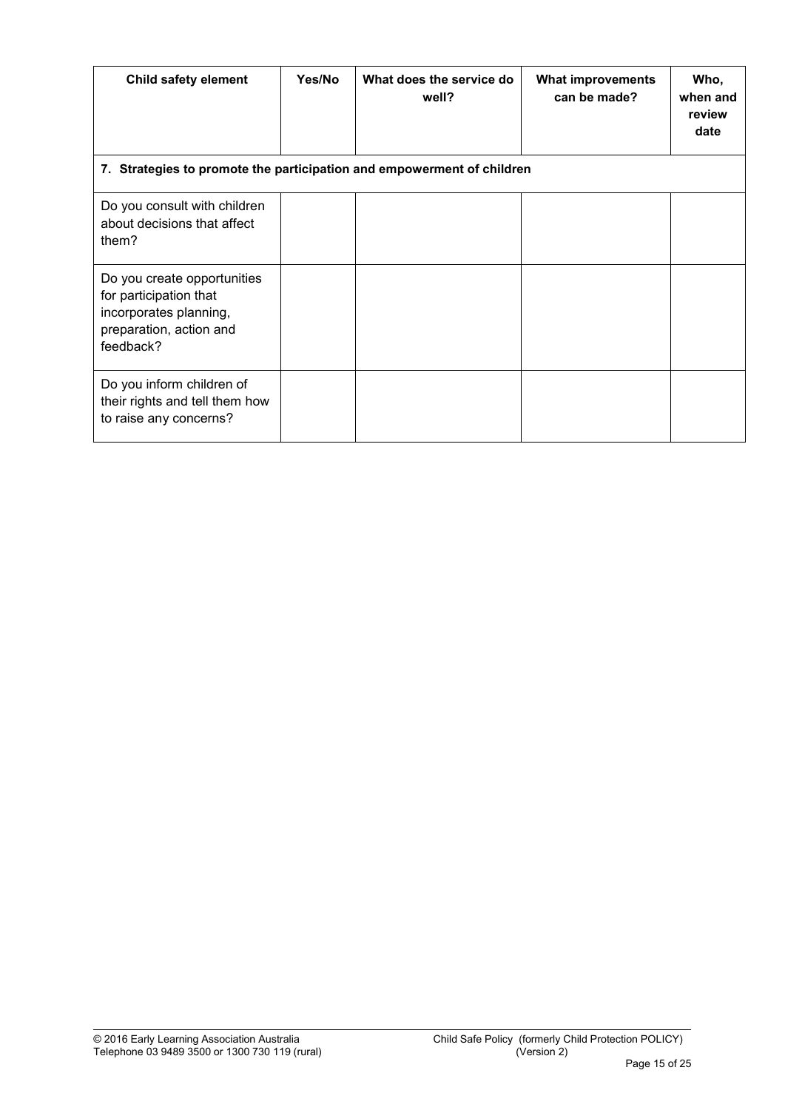| Child safety element                                                                                                    | Yes/No | What does the service do<br>well? | <b>What improvements</b><br>can be made? | Who,<br>when and<br>review<br>date |
|-------------------------------------------------------------------------------------------------------------------------|--------|-----------------------------------|------------------------------------------|------------------------------------|
| 7. Strategies to promote the participation and empowerment of children                                                  |        |                                   |                                          |                                    |
| Do you consult with children<br>about decisions that affect<br>them?                                                    |        |                                   |                                          |                                    |
| Do you create opportunities<br>for participation that<br>incorporates planning,<br>preparation, action and<br>feedback? |        |                                   |                                          |                                    |
| Do you inform children of<br>their rights and tell them how<br>to raise any concerns?                                   |        |                                   |                                          |                                    |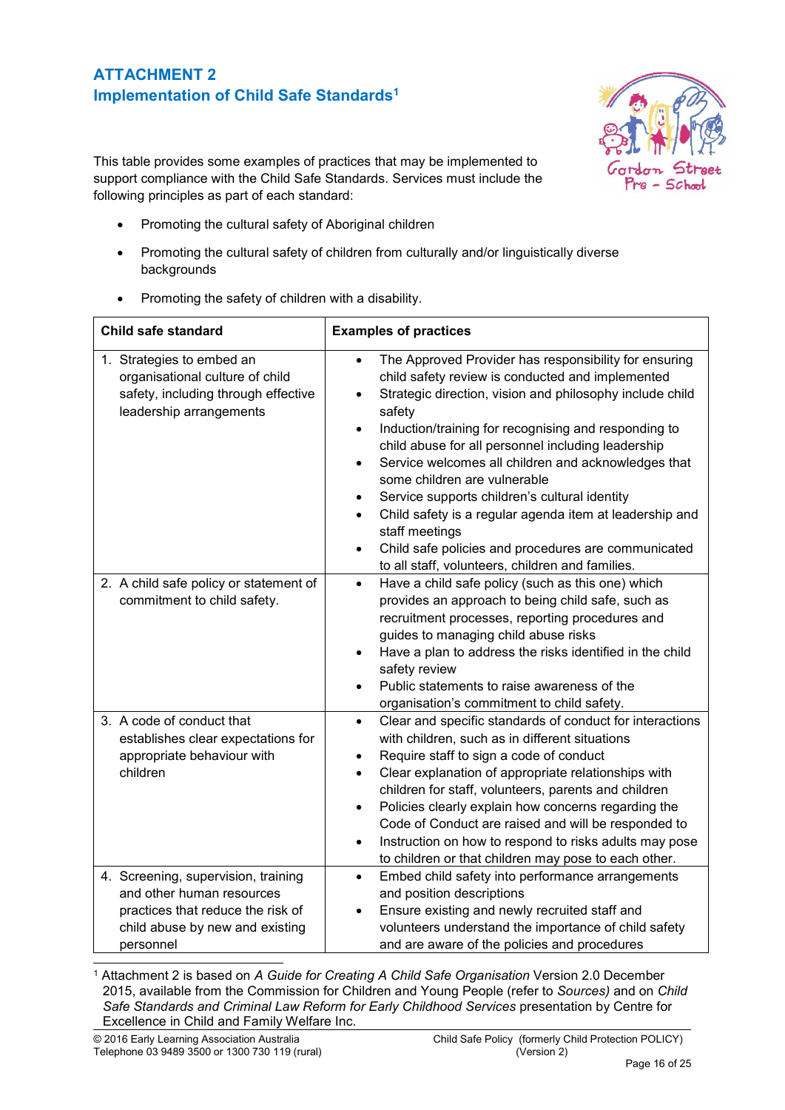# ATTACHMENT 2 Implementation of Child Safe Standards<sup>1</sup>



This table provides some examples of practices that may be implemented to support compliance with the Child Safe Standards. Services must include the following principles as part of each standard:

- Promoting the cultural safety of Aboriginal children
- Promoting the cultural safety of children from culturally and/or linguistically diverse backgrounds
- Promoting the safety of children with a disability.

| Child safe standard                                                                                                                                   | <b>Examples of practices</b>                                                                                                                                                                                                                                                                                                                                                                                                                                                                                                                                                                                                                                         |
|-------------------------------------------------------------------------------------------------------------------------------------------------------|----------------------------------------------------------------------------------------------------------------------------------------------------------------------------------------------------------------------------------------------------------------------------------------------------------------------------------------------------------------------------------------------------------------------------------------------------------------------------------------------------------------------------------------------------------------------------------------------------------------------------------------------------------------------|
| 1. Strategies to embed an<br>organisational culture of child<br>safety, including through effective<br>leadership arrangements                        | The Approved Provider has responsibility for ensuring<br>$\bullet$<br>child safety review is conducted and implemented<br>Strategic direction, vision and philosophy include child<br>safety<br>Induction/training for recognising and responding to<br>$\bullet$<br>child abuse for all personnel including leadership<br>Service welcomes all children and acknowledges that<br>$\bullet$<br>some children are vulnerable<br>Service supports children's cultural identity<br>Child safety is a regular agenda item at leadership and<br>staff meetings<br>Child safe policies and procedures are communicated<br>to all staff, volunteers, children and families. |
| 2. A child safe policy or statement of<br>commitment to child safety.                                                                                 | Have a child safe policy (such as this one) which<br>$\bullet$<br>provides an approach to being child safe, such as<br>recruitment processes, reporting procedures and<br>guides to managing child abuse risks<br>Have a plan to address the risks identified in the child<br>$\bullet$<br>safety review<br>Public statements to raise awareness of the<br>$\bullet$<br>organisation's commitment to child safety.                                                                                                                                                                                                                                                   |
| 3. A code of conduct that<br>establishes clear expectations for<br>appropriate behaviour with<br>children                                             | Clear and specific standards of conduct for interactions<br>$\bullet$<br>with children, such as in different situations<br>Require staff to sign a code of conduct<br>$\bullet$<br>Clear explanation of appropriate relationships with<br>$\bullet$<br>children for staff, volunteers, parents and children<br>Policies clearly explain how concerns regarding the<br>$\bullet$<br>Code of Conduct are raised and will be responded to<br>Instruction on how to respond to risks adults may pose<br>$\bullet$<br>to children or that children may pose to each other.                                                                                                |
| 4. Screening, supervision, training<br>and other human resources<br>practices that reduce the risk of<br>child abuse by new and existing<br>personnel | Embed child safety into performance arrangements<br>$\bullet$<br>and position descriptions<br>Ensure existing and newly recruited staff and<br>$\bullet$<br>volunteers understand the importance of child safety<br>and are aware of the policies and procedures                                                                                                                                                                                                                                                                                                                                                                                                     |

 1 Attachment 2 is based on *A Guide for Creating A Child Safe Organisation* Version 2.0 December 2015, available from the Commission for Children and Young People (refer to *Sources)* and on *Child Safe Standards and Criminal Law Reform for Early Childhood Services* presentation by Centre for Excellence in Child and Family Welfare Inc.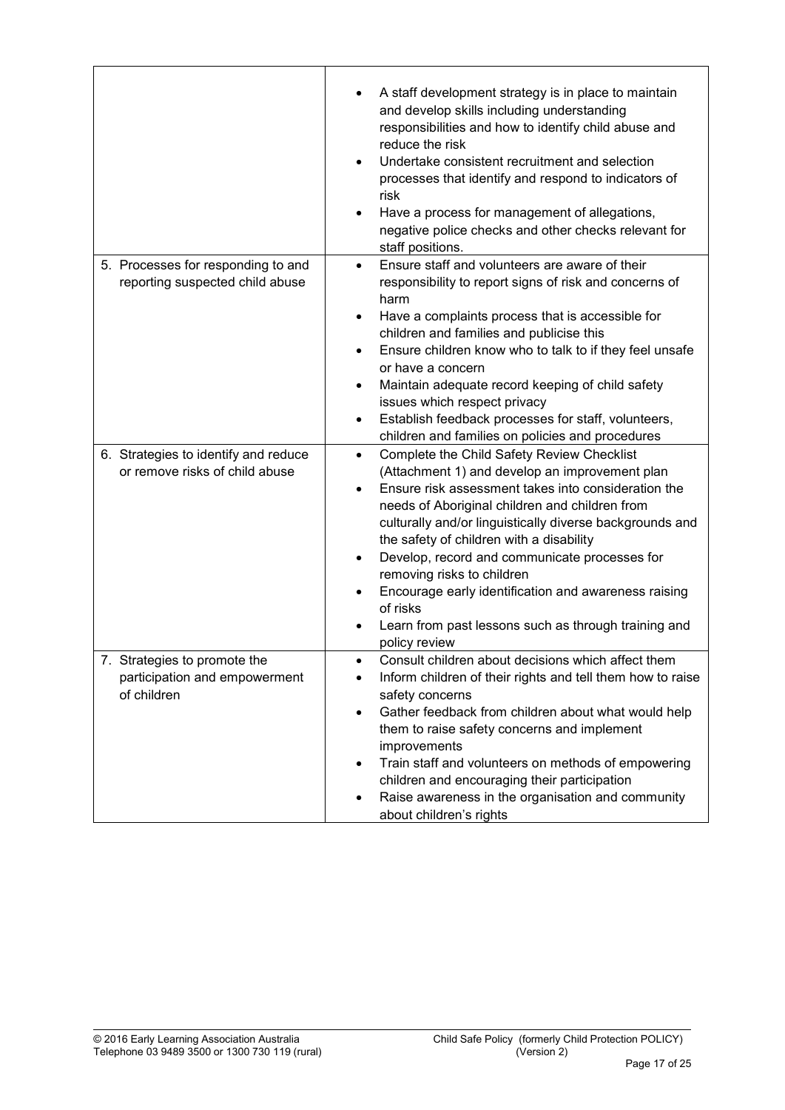|                                                                              | A staff development strategy is in place to maintain<br>and develop skills including understanding<br>responsibilities and how to identify child abuse and<br>reduce the risk<br>Undertake consistent recruitment and selection<br>processes that identify and respond to indicators of<br>risk<br>Have a process for management of allegations,<br>$\bullet$<br>negative police checks and other checks relevant for<br>staff positions.                                                                                                                                                     |
|------------------------------------------------------------------------------|-----------------------------------------------------------------------------------------------------------------------------------------------------------------------------------------------------------------------------------------------------------------------------------------------------------------------------------------------------------------------------------------------------------------------------------------------------------------------------------------------------------------------------------------------------------------------------------------------|
| 5. Processes for responding to and<br>reporting suspected child abuse        | Ensure staff and volunteers are aware of their<br>$\bullet$<br>responsibility to report signs of risk and concerns of<br>harm<br>Have a complaints process that is accessible for<br>$\bullet$<br>children and families and publicise this<br>Ensure children know who to talk to if they feel unsafe<br>or have a concern<br>Maintain adequate record keeping of child safety<br>$\bullet$<br>issues which respect privacy<br>Establish feedback processes for staff, volunteers,<br>$\bullet$<br>children and families on policies and procedures                                           |
| 6. Strategies to identify and reduce<br>or remove risks of child abuse       | Complete the Child Safety Review Checklist<br>$\bullet$<br>(Attachment 1) and develop an improvement plan<br>Ensure risk assessment takes into consideration the<br>$\bullet$<br>needs of Aboriginal children and children from<br>culturally and/or linguistically diverse backgrounds and<br>the safety of children with a disability<br>Develop, record and communicate processes for<br>$\bullet$<br>removing risks to children<br>Encourage early identification and awareness raising<br>$\bullet$<br>of risks<br>Learn from past lessons such as through training and<br>policy review |
| 7. Strategies to promote the<br>participation and empowerment<br>of children | Consult children about decisions which affect them<br>Inform children of their rights and tell them how to raise<br>$\bullet$<br>safety concerns<br>Gather feedback from children about what would help<br>$\bullet$<br>them to raise safety concerns and implement<br>improvements<br>Train staff and volunteers on methods of empowering<br>$\bullet$<br>children and encouraging their participation<br>Raise awareness in the organisation and community<br>$\bullet$<br>about children's rights                                                                                          |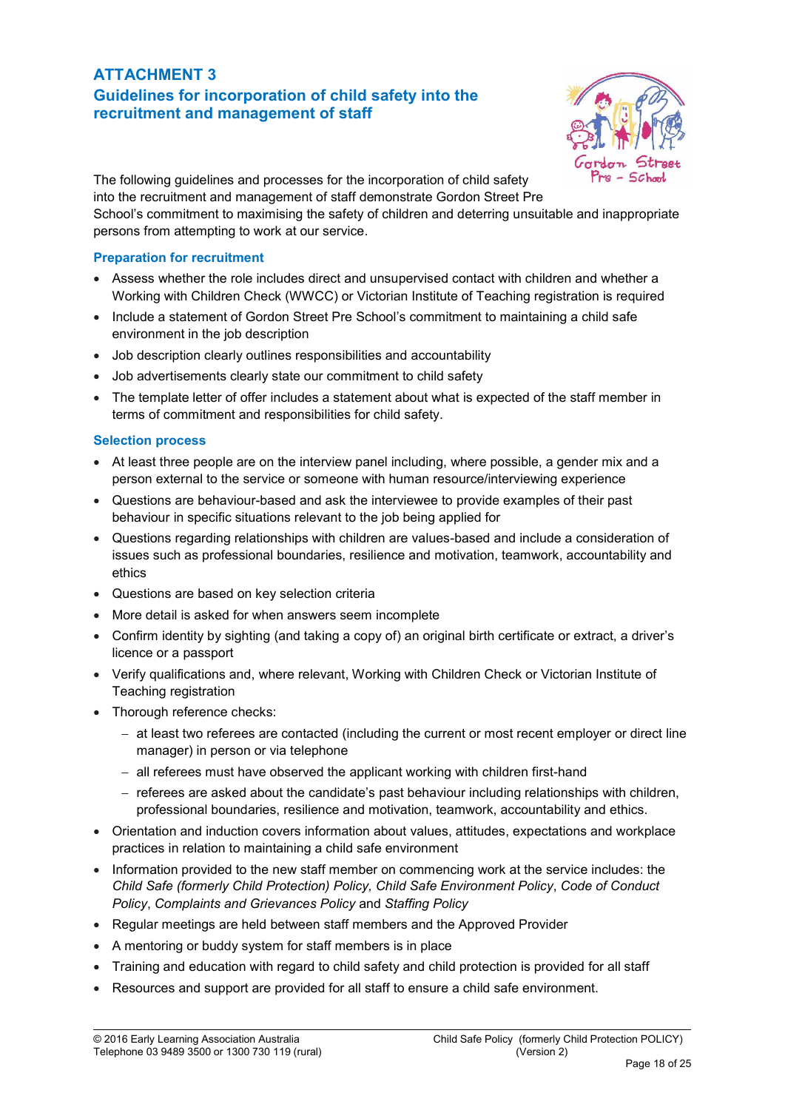### ATTACHMENT 3 Guidelines for incorporation of child safety into the recruitment and management of staff



The following guidelines and processes for the incorporation of child safety into the recruitment and management of staff demonstrate Gordon Street Pre

School's commitment to maximising the safety of children and deterring unsuitable and inappropriate persons from attempting to work at our service.

#### Preparation for recruitment

- Assess whether the role includes direct and unsupervised contact with children and whether a Working with Children Check (WWCC) or Victorian Institute of Teaching registration is required
- Include a statement of Gordon Street Pre School's commitment to maintaining a child safe environment in the job description
- Job description clearly outlines responsibilities and accountability
- Job advertisements clearly state our commitment to child safety
- The template letter of offer includes a statement about what is expected of the staff member in terms of commitment and responsibilities for child safety.

#### Selection process

- At least three people are on the interview panel including, where possible, a gender mix and a person external to the service or someone with human resource/interviewing experience
- Questions are behaviour-based and ask the interviewee to provide examples of their past behaviour in specific situations relevant to the job being applied for
- Questions regarding relationships with children are values-based and include a consideration of issues such as professional boundaries, resilience and motivation, teamwork, accountability and ethics
- Questions are based on key selection criteria
- More detail is asked for when answers seem incomplete
- Confirm identity by sighting (and taking a copy of) an original birth certificate or extract, a driver's licence or a passport
- Verify qualifications and, where relevant, Working with Children Check or Victorian Institute of Teaching registration
- Thorough reference checks:
	- $-$  at least two referees are contacted (including the current or most recent employer or direct line manager) in person or via telephone
	- all referees must have observed the applicant working with children first-hand
	- referees are asked about the candidate's past behaviour including relationships with children, professional boundaries, resilience and motivation, teamwork, accountability and ethics.
- Orientation and induction covers information about values, attitudes, expectations and workplace practices in relation to maintaining a child safe environment
- Information provided to the new staff member on commencing work at the service includes: the *Child Safe (formerly Child Protection) Policy, Child Safe Environment Policy*, *Code of Conduct Policy*, *Complaints and Grievances Policy* and *Staffing Policy*
- Regular meetings are held between staff members and the Approved Provider
- A mentoring or buddy system for staff members is in place
- Training and education with regard to child safety and child protection is provided for all staff
- Resources and support are provided for all staff to ensure a child safe environment.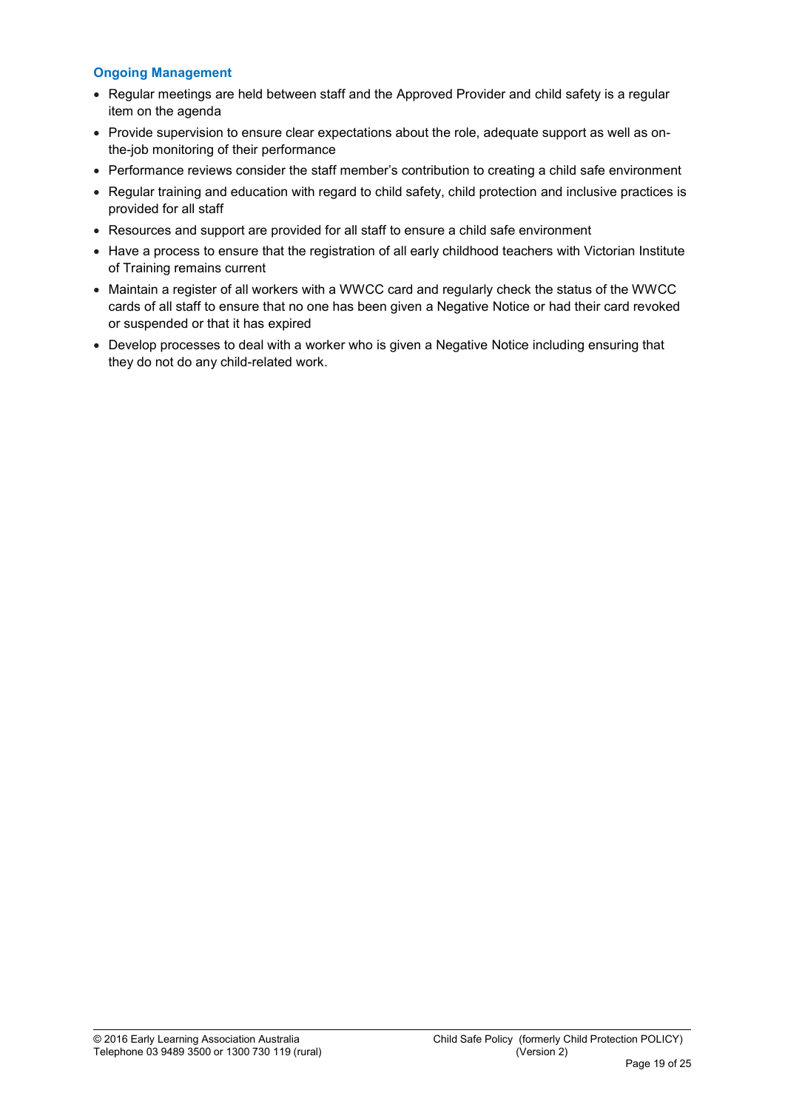### Ongoing Management

- Regular meetings are held between staff and the Approved Provider and child safety is a regular item on the agenda
- Provide supervision to ensure clear expectations about the role, adequate support as well as onthe-job monitoring of their performance
- Performance reviews consider the staff member's contribution to creating a child safe environment
- Regular training and education with regard to child safety, child protection and inclusive practices is provided for all staff
- Resources and support are provided for all staff to ensure a child safe environment
- Have a process to ensure that the registration of all early childhood teachers with Victorian Institute of Training remains current
- Maintain a register of all workers with a WWCC card and regularly check the status of the WWCC cards of all staff to ensure that no one has been given a Negative Notice or had their card revoked or suspended or that it has expired
- Develop processes to deal with a worker who is given a Negative Notice including ensuring that they do not do any child-related work.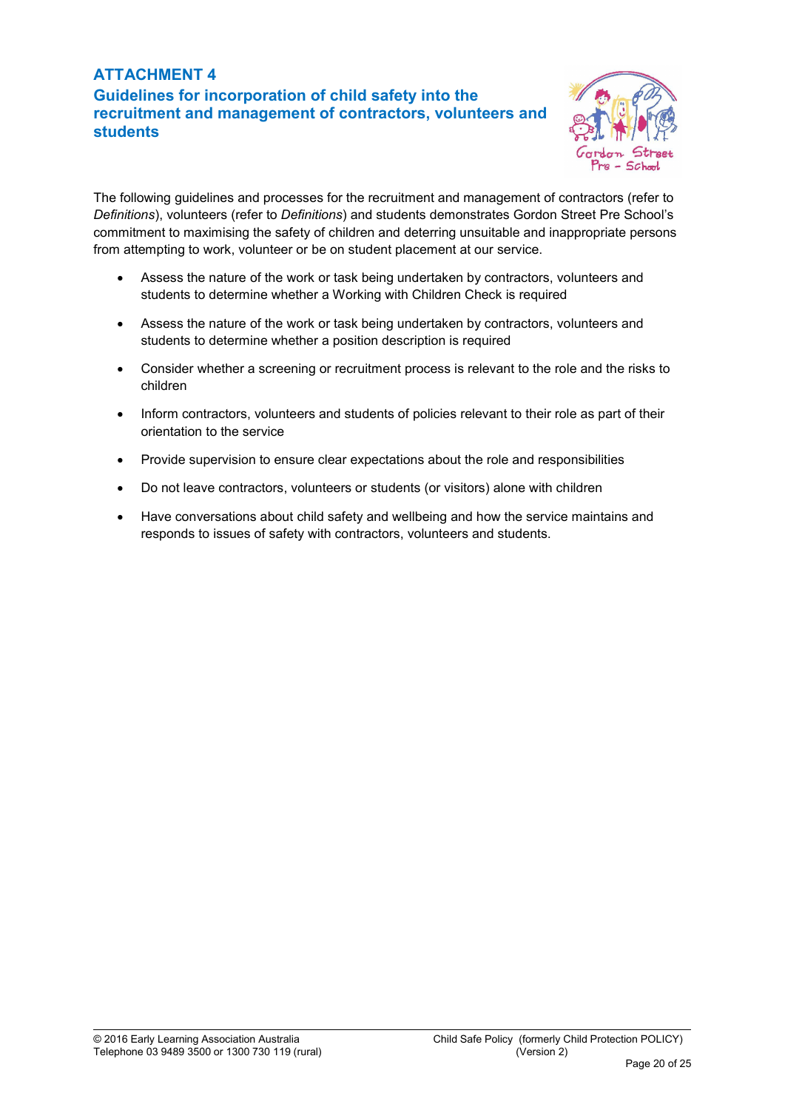# ATTACHMENT 4 Guidelines for incorporation of child safety into the recruitment and management of contractors, volunteers and students



The following guidelines and processes for the recruitment and management of contractors (refer to *Definitions*), volunteers (refer to *Definitions*) and students demonstrates Gordon Street Pre School's commitment to maximising the safety of children and deterring unsuitable and inappropriate persons from attempting to work, volunteer or be on student placement at our service.

- Assess the nature of the work or task being undertaken by contractors, volunteers and students to determine whether a Working with Children Check is required
- Assess the nature of the work or task being undertaken by contractors, volunteers and students to determine whether a position description is required
- Consider whether a screening or recruitment process is relevant to the role and the risks to children
- Inform contractors, volunteers and students of policies relevant to their role as part of their orientation to the service
- Provide supervision to ensure clear expectations about the role and responsibilities
- Do not leave contractors, volunteers or students (or visitors) alone with children
- Have conversations about child safety and wellbeing and how the service maintains and responds to issues of safety with contractors, volunteers and students.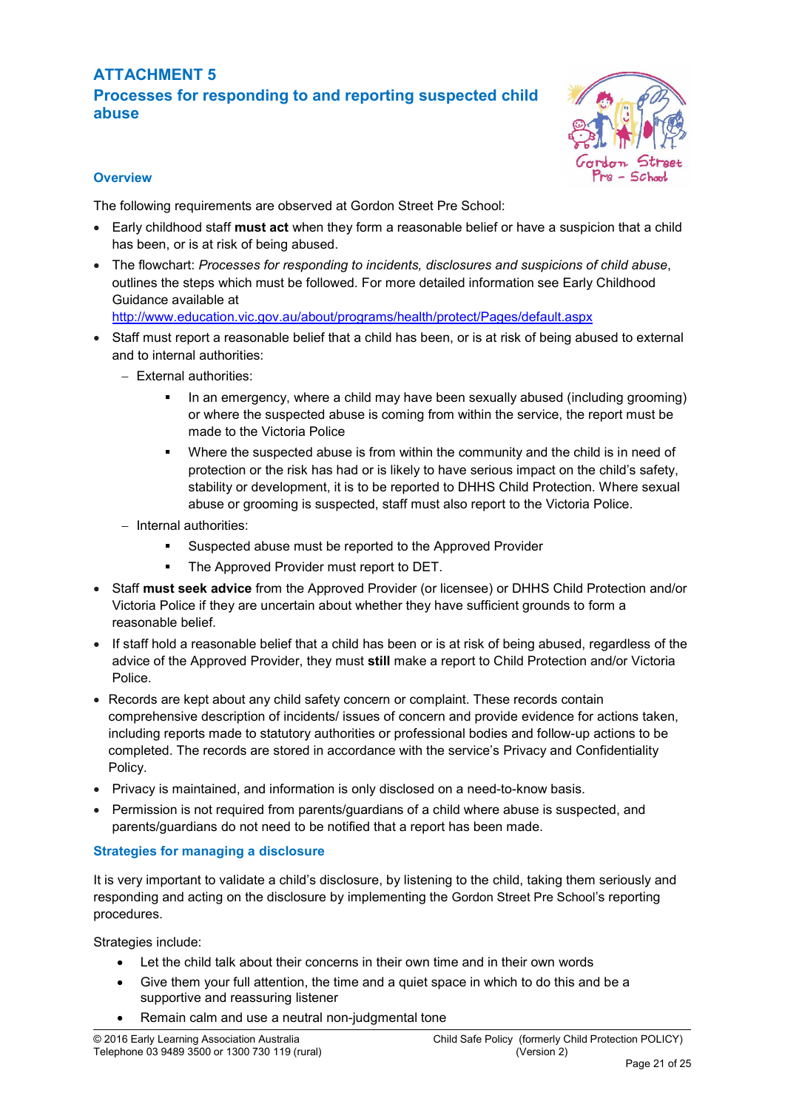# ATTACHMENT 5 Processes for responding to and reporting suspected child abuse



### **Overview**

The following requirements are observed at Gordon Street Pre School:

- Early childhood staff must act when they form a reasonable belief or have a suspicion that a child has been, or is at risk of being abused.
- The flowchart: *Processes for responding to incidents, disclosures and suspicions of child abuse*, outlines the steps which must be followed. For more detailed information see Early Childhood Guidance available at

<http://www.education.vic.gov.au/about/programs/health/protect/Pages/default.aspx>

- Staff must report a reasonable belief that a child has been, or is at risk of being abused to external and to internal authorities:
	- External authorities:
		- In an emergency, where a child may have been sexually abused (including grooming) or where the suspected abuse is coming from within the service, the report must be made to the Victoria Police
		- **•** Where the suspected abuse is from within the community and the child is in need of protection or the risk has had or is likely to have serious impact on the child's safety, stability or development, it is to be reported to DHHS Child Protection. Where sexual abuse or grooming is suspected, staff must also report to the Victoria Police.
	- $-$  Internal authorities:
		- Suspected abuse must be reported to the Approved Provider
		- The Approved Provider must report to DET.
- Staff must seek advice from the Approved Provider (or licensee) or DHHS Child Protection and/or Victoria Police if they are uncertain about whether they have sufficient grounds to form a reasonable belief.
- If staff hold a reasonable belief that a child has been or is at risk of being abused, regardless of the advice of the Approved Provider, they must still make a report to Child Protection and/or Victoria Police.
- Records are kept about any child safety concern or complaint. These records contain comprehensive description of incidents/ issues of concern and provide evidence for actions taken, including reports made to statutory authorities or professional bodies and follow-up actions to be completed. The records are stored in accordance with the service's Privacy and Confidentiality Policy.
- Privacy is maintained, and information is only disclosed on a need-to-know basis.
- Permission is not required from parents/quardians of a child where abuse is suspected, and parents/guardians do not need to be notified that a report has been made.

### Strategies for managing a disclosure

It is very important to validate a child's disclosure, by listening to the child, taking them seriously and responding and acting on the disclosure by implementing the Gordon Street Pre School's reporting procedures.

Strategies include:

- Let the child talk about their concerns in their own time and in their own words
- Give them your full attention, the time and a quiet space in which to do this and be a supportive and reassuring listener
- Remain calm and use a neutral non-judgmental tone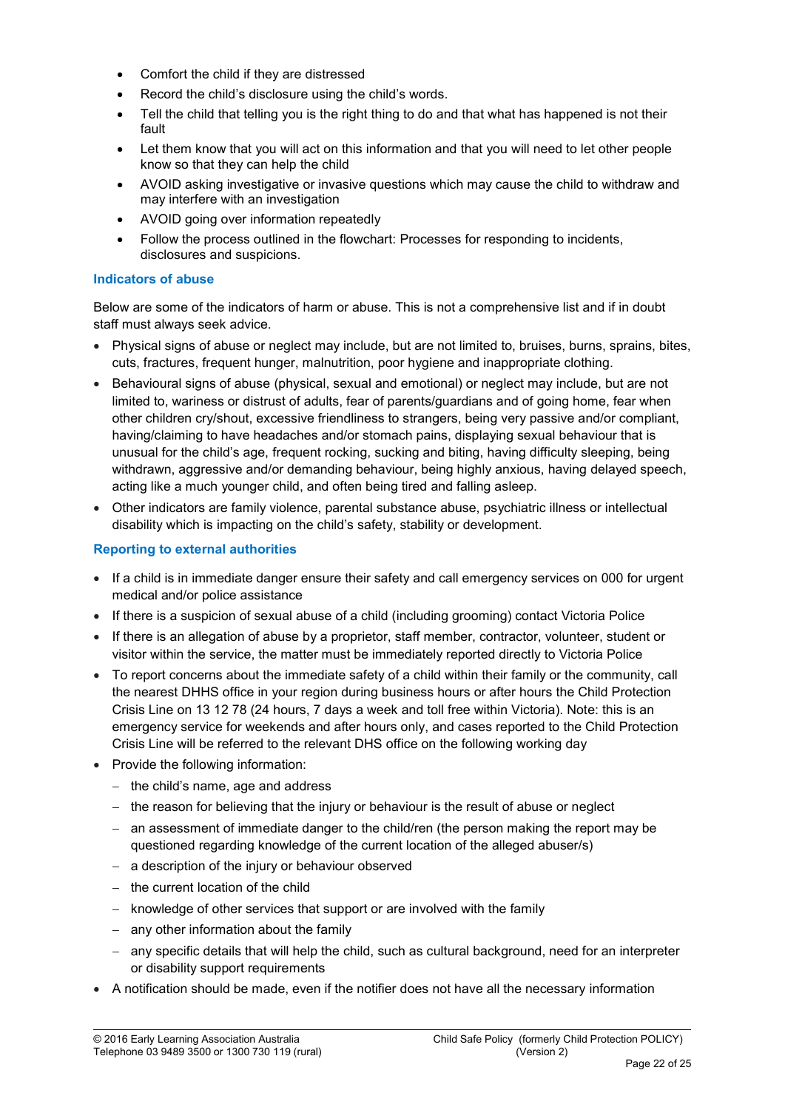- Comfort the child if they are distressed
- Record the child's disclosure using the child's words.
- Tell the child that telling you is the right thing to do and that what has happened is not their fault
- Let them know that you will act on this information and that you will need to let other people know so that they can help the child
- AVOID asking investigative or invasive questions which may cause the child to withdraw and may interfere with an investigation
- AVOID going over information repeatedly
- Follow the process outlined in the flowchart: Processes for responding to incidents, disclosures and suspicions.

#### Indicators of abuse

Below are some of the indicators of harm or abuse. This is not a comprehensive list and if in doubt staff must always seek advice.

- Physical signs of abuse or neglect may include, but are not limited to, bruises, burns, sprains, bites, cuts, fractures, frequent hunger, malnutrition, poor hygiene and inappropriate clothing.
- Behavioural signs of abuse (physical, sexual and emotional) or neglect may include, but are not limited to, wariness or distrust of adults, fear of parents/guardians and of going home, fear when other children cry/shout, excessive friendliness to strangers, being very passive and/or compliant, having/claiming to have headaches and/or stomach pains, displaying sexual behaviour that is unusual for the child's age, frequent rocking, sucking and biting, having difficulty sleeping, being withdrawn, aggressive and/or demanding behaviour, being highly anxious, having delayed speech, acting like a much younger child, and often being tired and falling asleep.
- Other indicators are family violence, parental substance abuse, psychiatric illness or intellectual disability which is impacting on the child's safety, stability or development.

#### Reporting to external authorities

- If a child is in immediate danger ensure their safety and call emergency services on 000 for urgent medical and/or police assistance
- If there is a suspicion of sexual abuse of a child (including grooming) contact Victoria Police
- If there is an allegation of abuse by a proprietor, staff member, contractor, volunteer, student or visitor within the service, the matter must be immediately reported directly to Victoria Police
- To report concerns about the immediate safety of a child within their family or the community, call the nearest DHHS office in your region during business hours or after hours the Child Protection Crisis Line on 13 12 78 (24 hours, 7 days a week and toll free within Victoria). Note: this is an emergency service for weekends and after hours only, and cases reported to the Child Protection Crisis Line will be referred to the relevant DHS office on the following working day
- Provide the following information:
	- $-$  the child's name, age and address
	- $-$  the reason for believing that the injury or behaviour is the result of abuse or neglect
	- $-$  an assessment of immediate danger to the child/ren (the person making the report may be questioned regarding knowledge of the current location of the alleged abuser/s)
	- a description of the injury or behaviour observed
	- $-$  the current location of the child
	- knowledge of other services that support or are involved with the family
	- $-$  any other information about the family
	- any specific details that will help the child, such as cultural background, need for an interpreter or disability support requirements
- A notification should be made, even if the notifier does not have all the necessary information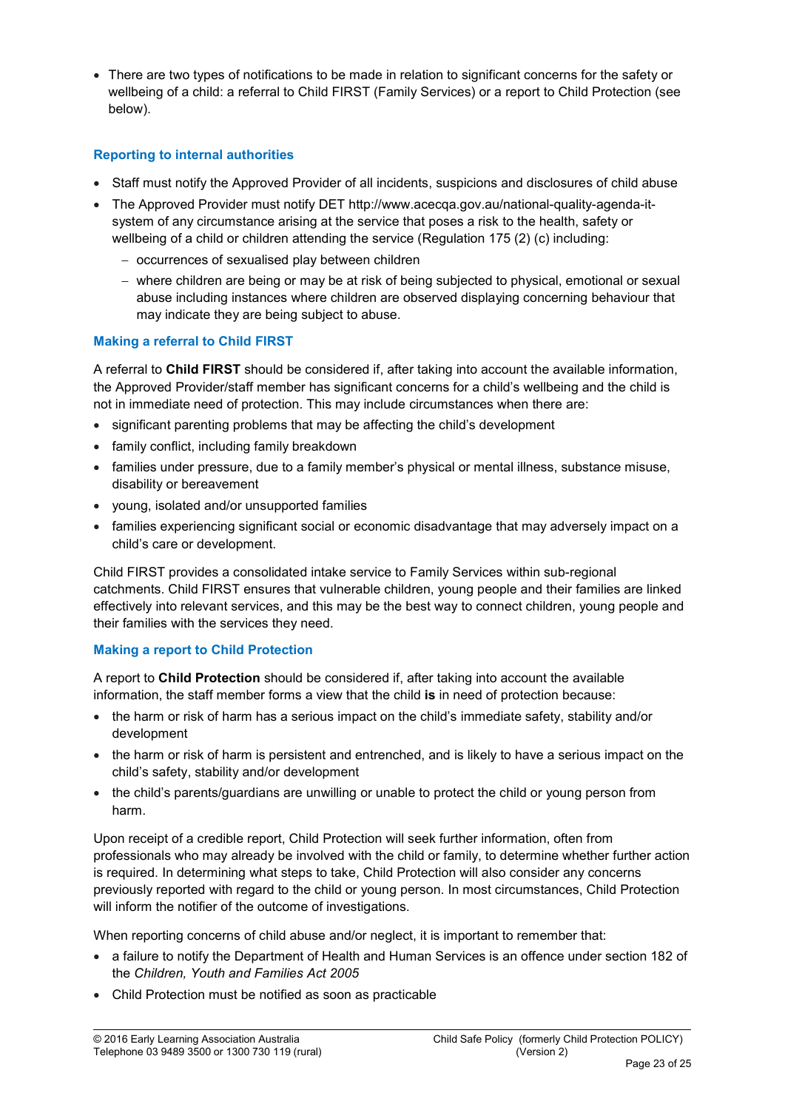There are two types of notifications to be made in relation to significant concerns for the safety or wellbeing of a child: a referral to Child FIRST (Family Services) or a report to Child Protection (see below).

### Reporting to internal authorities

- Staff must notify the Approved Provider of all incidents, suspicions and disclosures of child abuse
- The Approved Provider must notify DET [http://www.acecqa.gov.au/national-quality-agenda-it](http://www.acecqa.gov.au/national-quality-agenda-it-system)[system](http://www.acecqa.gov.au/national-quality-agenda-it-system) of any circumstance arising at the service that poses a risk to the health, safety or wellbeing of a child or children attending the service (Regulation 175 (2) (c) including:
	- occurrences of sexualised play between children
	- where children are being or may be at risk of being subjected to physical, emotional or sexual abuse including instances where children are observed displaying concerning behaviour that may indicate they are being subject to abuse.

### Making a referral to Child FIRST

A referral to Child FIRST should be considered if, after taking into account the available information, the Approved Provider/staff member has significant concerns for a child's wellbeing and the child is not in immediate need of protection. This may include circumstances when there are:

- significant parenting problems that may be affecting the child's development
- family conflict, including family breakdown
- families under pressure, due to a family member's physical or mental illness, substance misuse, disability or bereavement
- young, isolated and/or unsupported families
- families experiencing significant social or economic disadvantage that may adversely impact on a child's care or development.

Child FIRST provides a consolidated intake service to Family Services within sub-regional catchments. Child FIRST ensures that vulnerable children, young people and their families are linked effectively into relevant services, and this may be the best way to connect children, young people and their families with the services they need.

### Making a report to Child Protection

A report to Child Protection should be considered if, after taking into account the available information, the staff member forms a view that the child is in need of protection because:

- the harm or risk of harm has a serious impact on the child's immediate safety, stability and/or development
- the harm or risk of harm is persistent and entrenched, and is likely to have a serious impact on the child's safety, stability and/or development
- the child's parents/guardians are unwilling or unable to protect the child or young person from harm.

Upon receipt of a credible report, Child Protection will seek further information, often from professionals who may already be involved with the child or family, to determine whether further action is required. In determining what steps to take, Child Protection will also consider any concerns previously reported with regard to the child or young person. In most circumstances, Child Protection will inform the notifier of the outcome of investigations.

When reporting concerns of child abuse and/or neglect, it is important to remember that:

- a failure to notify the Department of Health and Human Services is an offence under section 182 of the *Children, Youth and Families Act 2005*
- Child Protection must be notified as soon as practicable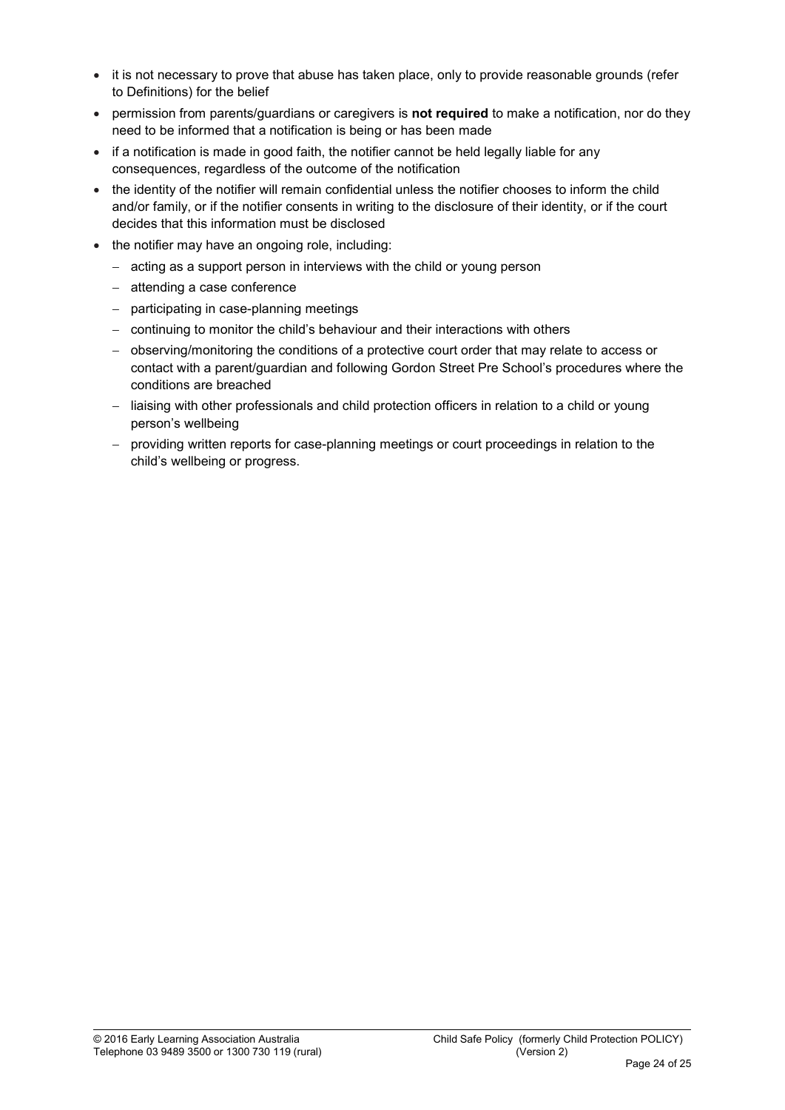- it is not necessary to prove that abuse has taken place, only to provide reasonable grounds (refer to Definitions) for the belief
- permission from parents/guardians or caregivers is not required to make a notification, nor do they need to be informed that a notification is being or has been made
- if a notification is made in good faith, the notifier cannot be held legally liable for any consequences, regardless of the outcome of the notification
- the identity of the notifier will remain confidential unless the notifier chooses to inform the child and/or family, or if the notifier consents in writing to the disclosure of their identity, or if the court decides that this information must be disclosed
- the notifier may have an ongoing role, including:
	- acting as a support person in interviews with the child or young person
	- attending a case conference
	- participating in case-planning meetings
	- continuing to monitor the child's behaviour and their interactions with others
	- observing/monitoring the conditions of a protective court order that may relate to access or contact with a parent/guardian and following Gordon Street Pre School's procedures where the conditions are breached
	- liaising with other professionals and child protection officers in relation to a child or young person's wellbeing
	- providing written reports for case-planning meetings or court proceedings in relation to the child's wellbeing or progress.